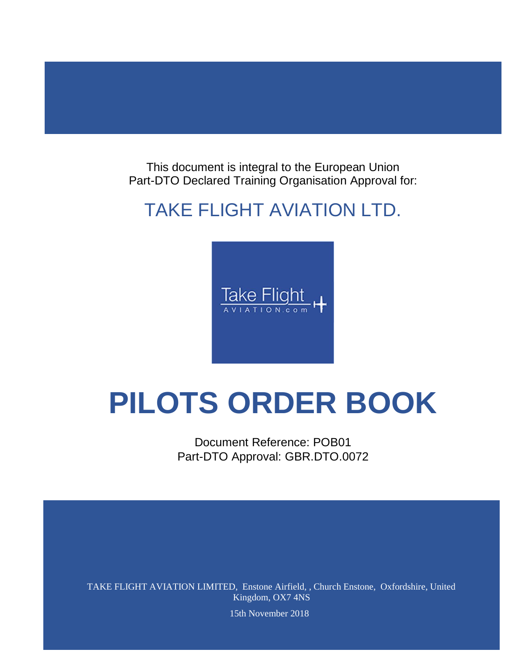This document is integral to the European Union Part-DTO Declared Training Organisation Approval for:

## TAKE FLIGHT AVIATION LTD.



# **PILOTS ORDER BOOK**

Document Reference: POB01 Part-DTO Approval: GBR.DTO.0072

TAKE FLIGHT AVIATION LIMITED, Enstone Airfield, , Church Enstone, Oxfordshire, United Kingdom, OX7 4NS

15th November 2018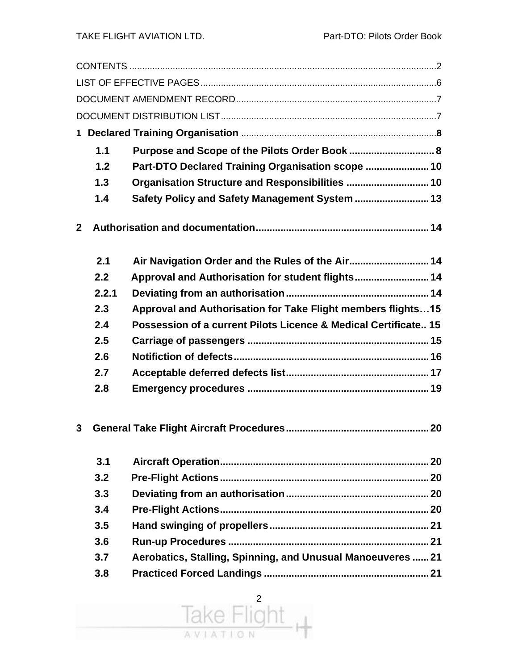|                | 1.1   | Purpose and Scope of the Pilots Order Book  8                   |
|----------------|-------|-----------------------------------------------------------------|
|                | 1.2   | Part-DTO Declared Training Organisation scope  10               |
|                | 1.3   |                                                                 |
|                | 1.4   | Safety Policy and Safety Management System  13                  |
| 2 <sup>1</sup> |       |                                                                 |
|                | 2.1   | Air Navigation Order and the Rules of the Air 14                |
|                | 2.2   | Approval and Authorisation for student flights 14               |
|                | 2.2.1 |                                                                 |
|                | 2.3   | Approval and Authorisation for Take Flight members flights 15   |
|                | 2.4   | Possession of a current Pilots Licence & Medical Certificate 15 |
|                | 2.5   |                                                                 |
|                | 2.6   |                                                                 |
|                | 2.7   |                                                                 |
|                | 2.8   |                                                                 |
| 3              |       |                                                                 |
|                | 3.1   |                                                                 |
|                | 3.2   |                                                                 |
|                | 3.3   |                                                                 |
|                | 3.4   |                                                                 |
|                | 3.5   |                                                                 |
|                | 3.6   |                                                                 |
|                | 3.7   | Aerobatics, Stalling, Spinning, and Unusual Manoeuveres  21     |
|                | 3.8   |                                                                 |
|                |       |                                                                 |

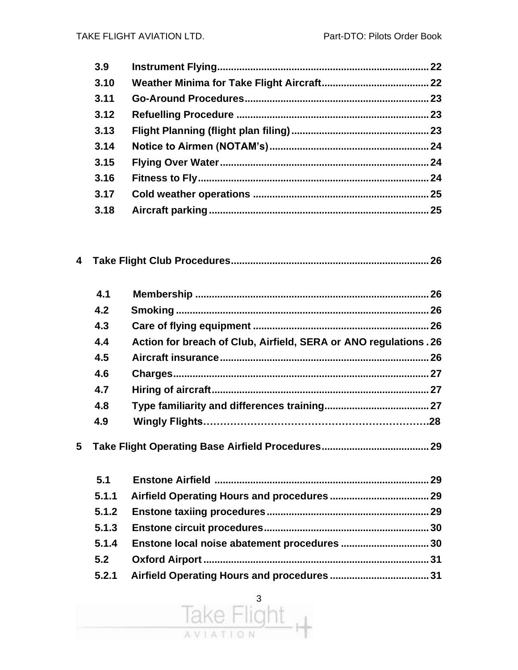| 3.9  |  |
|------|--|
| 3.10 |  |
| 3.11 |  |
| 3.12 |  |
| 3.13 |  |
| 3.14 |  |
| 3.15 |  |
| 3.16 |  |
| 3.17 |  |
| 3.18 |  |
|      |  |

|   | 4.1 |                                                                  | 26  |
|---|-----|------------------------------------------------------------------|-----|
|   | 4.2 |                                                                  | 26  |
|   | 4.3 |                                                                  | .26 |
|   | 4.4 | Action for breach of Club, Airfield, SERA or ANO regulations. 26 |     |
|   | 4.5 |                                                                  | 26  |
|   | 4.6 |                                                                  |     |
|   | 4.7 |                                                                  |     |
|   | 4.8 |                                                                  |     |
|   | 4.9 |                                                                  |     |
| 5 |     |                                                                  | 29  |

| 5.1   |  |
|-------|--|
| 5.1.1 |  |
|       |  |
|       |  |
| 5.1.4 |  |
| 5.2   |  |
|       |  |

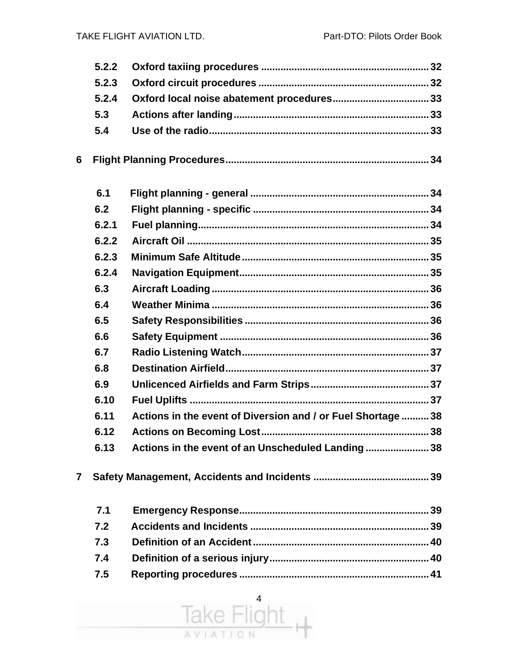|              | 5.2.2 |                                                              |
|--------------|-------|--------------------------------------------------------------|
|              | 5.2.3 |                                                              |
|              | 5.2.4 |                                                              |
|              | 5.3   |                                                              |
|              | 5.4   |                                                              |
| 6            |       |                                                              |
|              | 6.1   |                                                              |
|              | 6.2   |                                                              |
|              | 6.2.1 |                                                              |
|              | 6.2.2 |                                                              |
|              | 6.2.3 |                                                              |
|              | 6.2.4 |                                                              |
|              | 6.3   |                                                              |
|              | 6.4   |                                                              |
|              | 6.5   |                                                              |
|              | 6.6   |                                                              |
|              | 6.7   |                                                              |
|              | 6.8   |                                                              |
|              | 6.9   |                                                              |
|              | 6.10  |                                                              |
|              | 6.11  | Actions in the event of Diversion and / or Fuel Shortage  38 |
|              | 6.12  |                                                              |
|              | 6.13  | Actions in the event of an Unscheduled Landing 38            |
| $\mathbf{7}$ |       |                                                              |
|              | 7.1   |                                                              |
|              | 7.2   |                                                              |
|              | 7.3   |                                                              |
|              | 7.4   |                                                              |
|              | 7.5   |                                                              |

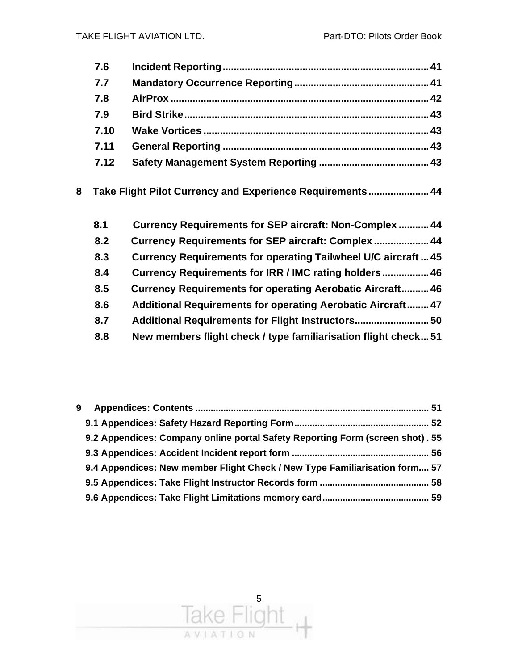|   | 7.6  |                                                                    |  |
|---|------|--------------------------------------------------------------------|--|
|   | 7.7  |                                                                    |  |
|   | 7.8  |                                                                    |  |
|   | 7.9  |                                                                    |  |
|   | 7.10 |                                                                    |  |
|   | 7.11 |                                                                    |  |
|   | 7.12 |                                                                    |  |
| 8 |      | Take Flight Pilot Currency and Experience Requirements 44          |  |
|   | 8.1  | Currency Requirements for SEP aircraft: Non-Complex  44            |  |
|   | 8.2  | Currency Requirements for SEP aircraft: Complex  44                |  |
|   | 8.3  | Currency Requirements for operating Tailwheel U/C aircraft45       |  |
|   | 8.4  | Currency Requirements for IRR / IMC rating holders 46              |  |
|   | 8.5  | <b>Currency Requirements for operating Aerobatic Aircraft 46</b>   |  |
|   | 8.6  | <b>Additional Requirements for operating Aerobatic Aircraft 47</b> |  |

**8.7 Additional Requirements for Flight Instructors........................... 50 8.8 New members flight check / type familiarisation flight check...51**

| 9 |                                                                               |  |
|---|-------------------------------------------------------------------------------|--|
|   |                                                                               |  |
|   | 9.2 Appendices: Company online portal Safety Reporting Form (screen shot). 55 |  |
|   |                                                                               |  |
|   | 9.4 Appendices: New member Flight Check / New Type Familiarisation form 57    |  |
|   |                                                                               |  |
|   |                                                                               |  |

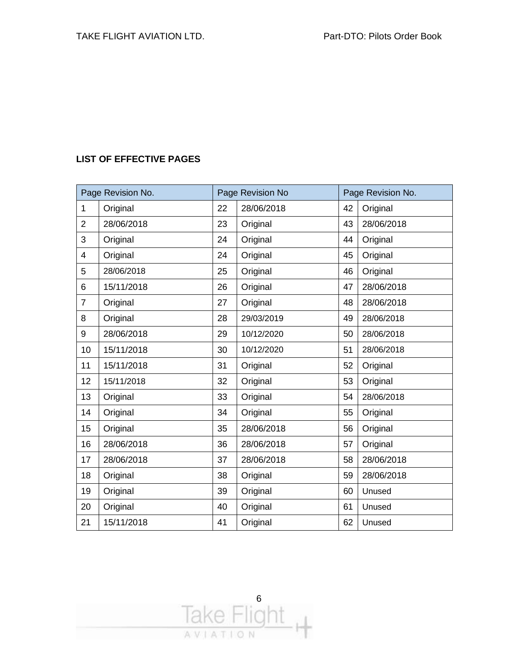#### **LIST OF EFFECTIVE PAGES**

| Page Revision No. |            |    | Page Revision No |    | Page Revision No. |  |
|-------------------|------------|----|------------------|----|-------------------|--|
| $\mathbf{1}$      | Original   | 22 | 28/06/2018       | 42 | Original          |  |
| $\overline{2}$    | 28/06/2018 | 23 | Original         | 43 | 28/06/2018        |  |
| 3                 | Original   | 24 | Original         | 44 | Original          |  |
| 4                 | Original   | 24 | Original         | 45 | Original          |  |
| 5                 | 28/06/2018 | 25 | Original         | 46 | Original          |  |
| 6                 | 15/11/2018 | 26 | Original         | 47 | 28/06/2018        |  |
| $\overline{7}$    | Original   | 27 | Original         | 48 | 28/06/2018        |  |
| 8                 | Original   | 28 | 29/03/2019       | 49 | 28/06/2018        |  |
| 9                 | 28/06/2018 | 29 | 10/12/2020       | 50 | 28/06/2018        |  |
| 10                | 15/11/2018 | 30 | 10/12/2020       | 51 | 28/06/2018        |  |
| 11                | 15/11/2018 | 31 | Original         | 52 | Original          |  |
| 12                | 15/11/2018 | 32 | Original         | 53 | Original          |  |
| 13                | Original   | 33 | Original         | 54 | 28/06/2018        |  |
| 14                | Original   | 34 | Original         | 55 | Original          |  |
| 15                | Original   | 35 | 28/06/2018       | 56 | Original          |  |
| 16                | 28/06/2018 | 36 | 28/06/2018       | 57 | Original          |  |
| 17                | 28/06/2018 | 37 | 28/06/2018       | 58 | 28/06/2018        |  |
| 18                | Original   | 38 | Original         | 59 | 28/06/2018        |  |
| 19                | Original   | 39 | Original         | 60 | Unused            |  |
| 20                | Original   | 40 | Original         | 61 | Unused            |  |
| 21                | 15/11/2018 | 41 | Original         | 62 | Unused            |  |

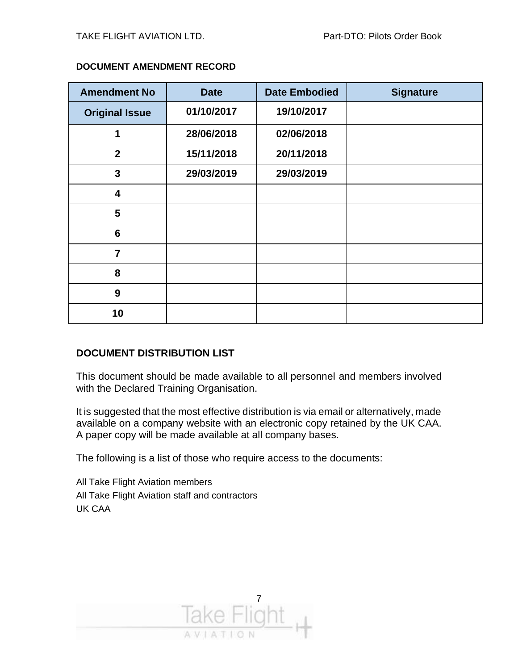| <b>Amendment No</b>   | <b>Date</b> | <b>Date Embodied</b> | <b>Signature</b> |
|-----------------------|-------------|----------------------|------------------|
| <b>Original Issue</b> | 01/10/2017  | 19/10/2017           |                  |
| 1                     | 28/06/2018  | 02/06/2018           |                  |
| $\boldsymbol{2}$      | 15/11/2018  | 20/11/2018           |                  |
| 3                     | 29/03/2019  | 29/03/2019           |                  |
| 4                     |             |                      |                  |
| 5                     |             |                      |                  |
| $6\phantom{1}$        |             |                      |                  |
| $\overline{7}$        |             |                      |                  |
| 8                     |             |                      |                  |
| 9                     |             |                      |                  |
| 10                    |             |                      |                  |

#### **DOCUMENT AMENDMENT RECORD**

#### **DOCUMENT DISTRIBUTION LIST**

This document should be made available to all personnel and members involved with the Declared Training Organisation.

It is suggested that the most effective distribution is via email or alternatively, made available on a company website with an electronic copy retained by the UK CAA. A paper copy will be made available at all company bases.

The following is a list of those who require access to the documents:

All Take Flight Aviation members All Take Flight Aviation staff and contractors UK CAA

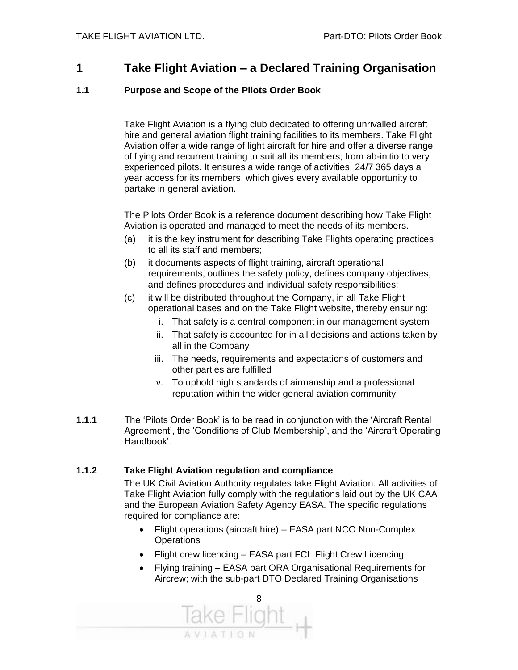#### **1 Take Flight Aviation – a Declared Training Organisation**

#### **1.1 Purpose and Scope of the Pilots Order Book**

Take Flight Aviation is a flying club dedicated to offering unrivalled aircraft hire and general aviation flight training facilities to its members. Take Flight Aviation offer a wide range of light aircraft for hire and offer a diverse range of flying and recurrent training to suit all its members; from ab-initio to very experienced pilots. It ensures a wide range of activities, 24/7 365 days a year access for its members, which gives every available opportunity to partake in general aviation.

The Pilots Order Book is a reference document describing how Take Flight Aviation is operated and managed to meet the needs of its members.

- (a) it is the key instrument for describing Take Flights operating practices to all its staff and members;
- (b) it documents aspects of flight training, aircraft operational requirements, outlines the safety policy, defines company objectives, and defines procedures and individual safety responsibilities;
- (c) it will be distributed throughout the Company, in all Take Flight operational bases and on the Take Flight website, thereby ensuring:
	- i. That safety is a central component in our management system
	- ii. That safety is accounted for in all decisions and actions taken by all in the Company
	- iii. The needs, requirements and expectations of customers and other parties are fulfilled
	- iv. To uphold high standards of airmanship and a professional reputation within the wider general aviation community
- **1.1.1** The 'Pilots Order Book' is to be read in conjunction with the 'Aircraft Rental Agreement', the 'Conditions of Club Membership', and the 'Aircraft Operating Handbook'.

#### **1.1.2 Take Flight Aviation regulation and compliance**

The UK Civil Aviation Authority regulates take Flight Aviation. All activities of Take Flight Aviation fully comply with the regulations laid out by the UK CAA and the European Aviation Safety Agency EASA. The specific regulations required for compliance are:

- Flight operations (aircraft hire) EASA part NCO Non-Complex **Operations**
- Flight crew licencing EASA part FCL Flight Crew Licencing
- Flying training EASA part ORA Organisational Requirements for Aircrew; with the sub-part DTO Declared Training Organisations

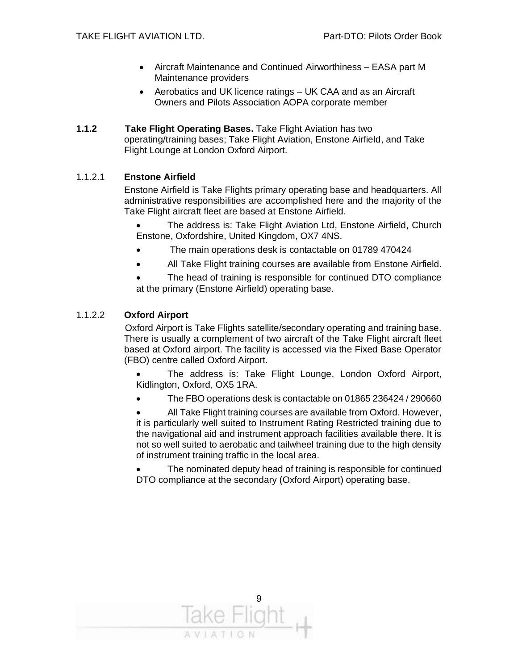- Aircraft Maintenance and Continued Airworthiness EASA part M Maintenance providers
- Aerobatics and UK licence ratings UK CAA and as an Aircraft Owners and Pilots Association AOPA corporate member
- **1.1.2 Take Flight Operating Bases.** Take Flight Aviation has two operating/training bases; Take Flight Aviation, Enstone Airfield, and Take Flight Lounge at London Oxford Airport.

#### 1.1.2.1 **Enstone Airfield**

Enstone Airfield is Take Flights primary operating base and headquarters. All administrative responsibilities are accomplished here and the majority of the Take Flight aircraft fleet are based at Enstone Airfield.

• The address is: Take Flight Aviation Ltd, Enstone Airfield, Church Enstone, Oxfordshire, United Kingdom, OX7 4NS.

- The main operations desk is contactable on 01789 470424
- All Take Flight training courses are available from Enstone Airfield.

The head of training is responsible for continued DTO compliance at the primary (Enstone Airfield) operating base.

#### 1.1.2.2 **Oxford Airport**

 Oxford Airport is Take Flights satellite/secondary operating and training base. There is usually a complement of two aircraft of the Take Flight aircraft fleet based at Oxford airport. The facility is accessed via the Fixed Base Operator (FBO) centre called Oxford Airport.

The address is: Take Flight Lounge, London Oxford Airport, Kidlington, Oxford, OX5 1RA.

• The FBO operations desk is contactable on 01865 236424 / 290660

• All Take Flight training courses are available from Oxford. However, it is particularly well suited to Instrument Rating Restricted training due to the navigational aid and instrument approach facilities available there. It is not so well suited to aerobatic and tailwheel training due to the high density of instrument training traffic in the local area.

The nominated deputy head of training is responsible for continued DTO compliance at the secondary (Oxford Airport) operating base.

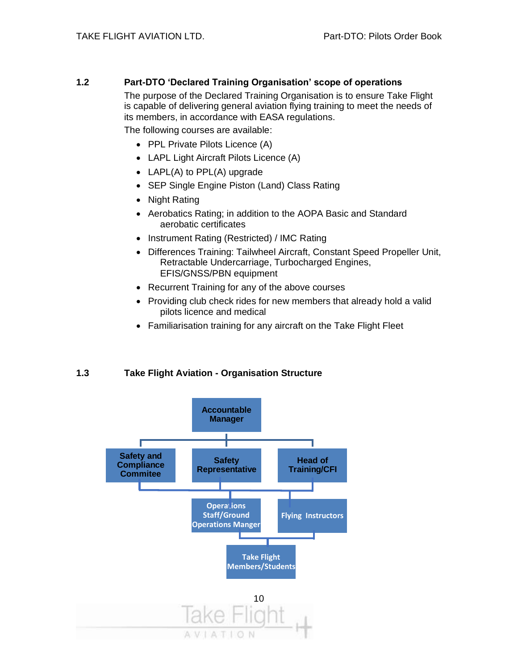#### **1.2 Part-DTO 'Declared Training Organisation' scope of operations**

The purpose of the Declared Training Organisation is to ensure Take Flight is capable of delivering general aviation flying training to meet the needs of its members, in accordance with EASA regulations.

The following courses are available:

- PPL Private Pilots Licence (A)
- LAPL Light Aircraft Pilots Licence (A)
- LAPL(A) to PPL(A) upgrade
- SEP Single Engine Piston (Land) Class Rating
- Night Rating
- Aerobatics Rating; in addition to the AOPA Basic and Standard aerobatic certificates
- Instrument Rating (Restricted) / IMC Rating
- Differences Training: Tailwheel Aircraft, Constant Speed Propeller Unit, Retractable Undercarriage, Turbocharged Engines, EFIS/GNSS/PBN equipment
- Recurrent Training for any of the above courses
- Providing club check rides for new members that already hold a valid pilots licence and medical
- Familiarisation training for any aircraft on the Take Flight Fleet

#### **1.3 Take Flight Aviation - Organisation Structure**

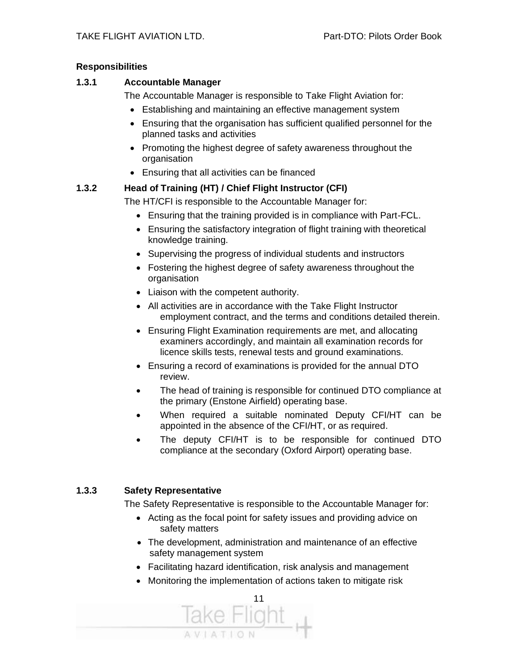#### **Responsibilities**

#### **1.3.1 Accountable Manager**

The Accountable Manager is responsible to Take Flight Aviation for:

- Establishing and maintaining an effective management system
- Ensuring that the organisation has sufficient qualified personnel for the planned tasks and activities
- Promoting the highest degree of safety awareness throughout the organisation
- Ensuring that all activities can be financed

#### **1.3.2 Head of Training (HT) / Chief Flight Instructor (CFI)**

The HT/CFI is responsible to the Accountable Manager for:

- Ensuring that the training provided is in compliance with Part-FCL.
- Ensuring the satisfactory integration of flight training with theoretical knowledge training.
- Supervising the progress of individual students and instructors
- Fostering the highest degree of safety awareness throughout the organisation
- Liaison with the competent authority.
- All activities are in accordance with the Take Flight Instructor employment contract, and the terms and conditions detailed therein.
- Ensuring Flight Examination requirements are met, and allocating examiners accordingly, and maintain all examination records for licence skills tests, renewal tests and ground examinations.
- Ensuring a record of examinations is provided for the annual DTO review.
- The head of training is responsible for continued DTO compliance at the primary (Enstone Airfield) operating base.
- When required a suitable nominated Deputy CFI/HT can be appointed in the absence of the CFI/HT, or as required.
- The deputy CFI/HT is to be responsible for continued DTO compliance at the secondary (Oxford Airport) operating base.

#### **1.3.3 Safety Representative**

The Safety Representative is responsible to the Accountable Manager for:

- Acting as the focal point for safety issues and providing advice on safety matters
- The development, administration and maintenance of an effective safety management system
- Facilitating hazard identification, risk analysis and management
- Monitoring the implementation of actions taken to mitigate risk

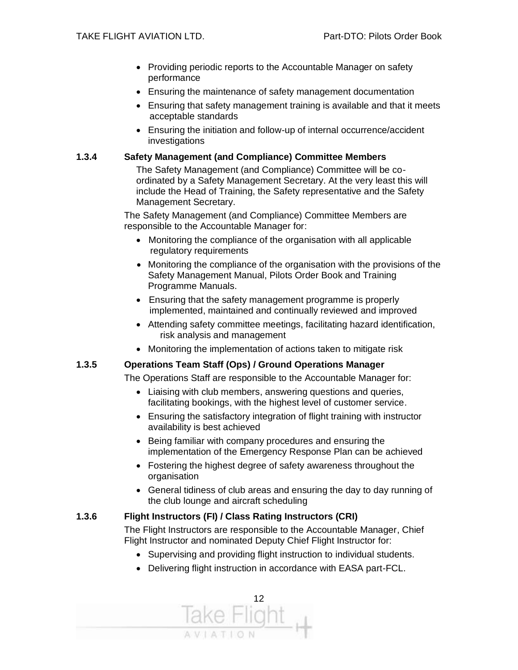- Providing periodic reports to the Accountable Manager on safety performance
- Ensuring the maintenance of safety management documentation
- Ensuring that safety management training is available and that it meets acceptable standards
- Ensuring the initiation and follow-up of internal occurrence/accident **investigations**

#### **1.3.4 Safety Management (and Compliance) Committee Members**

The Safety Management (and Compliance) Committee will be coordinated by a Safety Management Secretary. At the very least this will include the Head of Training, the Safety representative and the Safety Management Secretary.

The Safety Management (and Compliance) Committee Members are responsible to the Accountable Manager for:

- Monitoring the compliance of the organisation with all applicable regulatory requirements
- Monitoring the compliance of the organisation with the provisions of the Safety Management Manual, Pilots Order Book and Training Programme Manuals.
- Ensuring that the safety management programme is properly implemented, maintained and continually reviewed and improved
- Attending safety committee meetings, facilitating hazard identification, risk analysis and management
- Monitoring the implementation of actions taken to mitigate risk

#### **1.3.5 Operations Team Staff (Ops) / Ground Operations Manager**

The Operations Staff are responsible to the Accountable Manager for:

- Liaising with club members, answering questions and queries, facilitating bookings, with the highest level of customer service.
- Ensuring the satisfactory integration of flight training with instructor availability is best achieved
- Being familiar with company procedures and ensuring the implementation of the Emergency Response Plan can be achieved
- Fostering the highest degree of safety awareness throughout the organisation
- General tidiness of club areas and ensuring the day to day running of the club lounge and aircraft scheduling

#### **1.3.6 Flight Instructors (FI) / Class Rating Instructors (CRI)**

The Flight Instructors are responsible to the Accountable Manager, Chief Flight Instructor and nominated Deputy Chief Flight Instructor for:

- Supervising and providing flight instruction to individual students.
- Delivering flight instruction in accordance with EASA part-FCL.

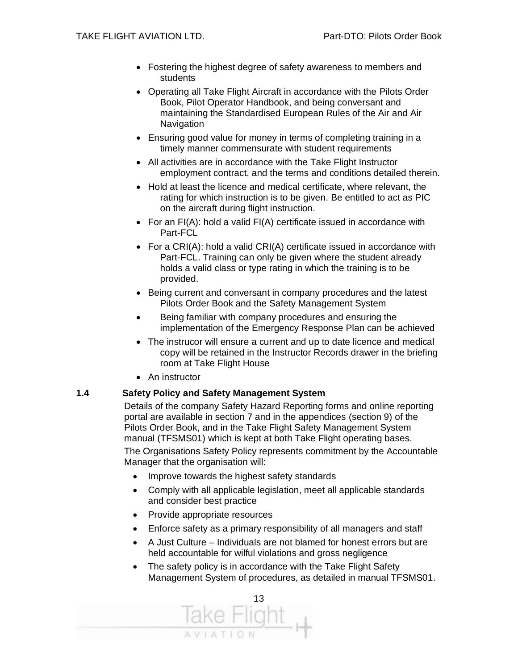- Fostering the highest degree of safety awareness to members and students
- Operating all Take Flight Aircraft in accordance with the Pilots Order Book, Pilot Operator Handbook, and being conversant and maintaining the Standardised European Rules of the Air and Air **Navigation**
- Ensuring good value for money in terms of completing training in a timely manner commensurate with student requirements
- All activities are in accordance with the Take Flight Instructor employment contract, and the terms and conditions detailed therein.
- Hold at least the licence and medical certificate, where relevant, the rating for which instruction is to be given. Be entitled to act as PIC on the aircraft during flight instruction.
- For an FI(A): hold a valid FI(A) certificate issued in accordance with Part-FCL
- For a CRI(A): hold a valid CRI(A) certificate issued in accordance with Part-FCL. Training can only be given where the student already holds a valid class or type rating in which the training is to be provided.
- Being current and conversant in company procedures and the latest Pilots Order Book and the Safety Management System
- Being familiar with company procedures and ensuring the implementation of the Emergency Response Plan can be achieved
- The instrucor will ensure a current and up to date licence and medical copy will be retained in the Instructor Records drawer in the briefing room at Take Flight House
- An instructor

#### **1.4 Safety Policy and Safety Management System**

Details of the company Safety Hazard Reporting forms and online reporting portal are available in section 7 and in the appendices (section 9) of the Pilots Order Book, and in the Take Flight Safety Management System manual (TFSMS01) which is kept at both Take Flight operating bases.

The Organisations Safety Policy represents commitment by the Accountable Manager that the organisation will:

- Improve towards the highest safety standards
- Comply with all applicable legislation, meet all applicable standards and consider best practice
- Provide appropriate resources
- Enforce safety as a primary responsibility of all managers and staff
- A Just Culture Individuals are not blamed for honest errors but are held accountable for wilful violations and gross negligence
- The safety policy is in accordance with the Take Flight Safety Management System of procedures, as detailed in manual TFSMS01.

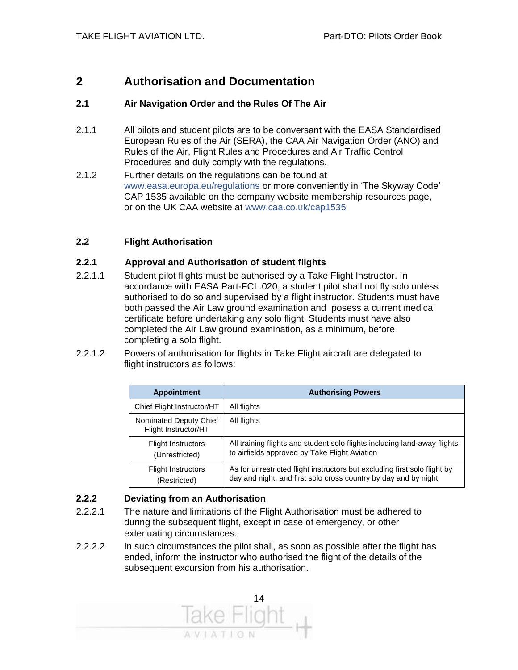#### **2 Authorisation and Documentation**

#### **2.1 Air Navigation Order and the Rules Of The Air**

- 2.1.1 All pilots and student pilots are to be conversant with the EASA Standardised European Rules of the Air (SERA), the CAA Air Navigation Order (ANO) and Rules of the Air, Flight Rules and Procedures and Air Traffic Control Procedures and duly comply with the regulations.
- 2.1.2 Further details on the regulations can be found at www.easa.europa.eu/regulations or more conveniently in 'The Skyway Code' CAP 1535 available on the company website membership resources page, or on the UK CAA website at www.caa.co.uk/cap1535

#### **2.2 Flight Authorisation**

#### **2.2.1 Approval and Authorisation of student flights**

- 2.2.1.1 Student pilot flights must be authorised by a Take Flight Instructor. In accordance with EASA Part-FCL.020, a student pilot shall not fly solo unless authorised to do so and supervised by a flight instructor. Students must have both passed the Air Law ground examination and posess a current medical certificate before undertaking any solo flight. Students must have also completed the Air Law ground examination, as a minimum, before completing a solo flight.
- 2.2.1.2 Powers of authorisation for flights in Take Flight aircraft are delegated to flight instructors as follows:

| <b>Appointment</b>                             | <b>Authorising Powers</b>                                                                                                                     |
|------------------------------------------------|-----------------------------------------------------------------------------------------------------------------------------------------------|
| Chief Flight Instructor/HT                     | All flights                                                                                                                                   |
| Nominated Deputy Chief<br>Flight Instructor/HT | All flights                                                                                                                                   |
| <b>Flight Instructors</b><br>(Unrestricted)    | All training flights and student solo flights including land-away flights<br>to airfields approved by Take Flight Aviation                    |
| <b>Flight Instructors</b><br>(Restricted)      | As for unrestricted flight instructors but excluding first solo flight by<br>day and night, and first solo cross country by day and by night. |

#### **2.2.2 Deviating from an Authorisation**

- 2.2.2.1 The nature and limitations of the Flight Authorisation must be adhered to during the subsequent flight, except in case of emergency, or other extenuating circumstances.
- 2.2.2.2 In such circumstances the pilot shall, as soon as possible after the flight has ended, inform the instructor who authorised the flight of the details of the subsequent excursion from his authorisation.

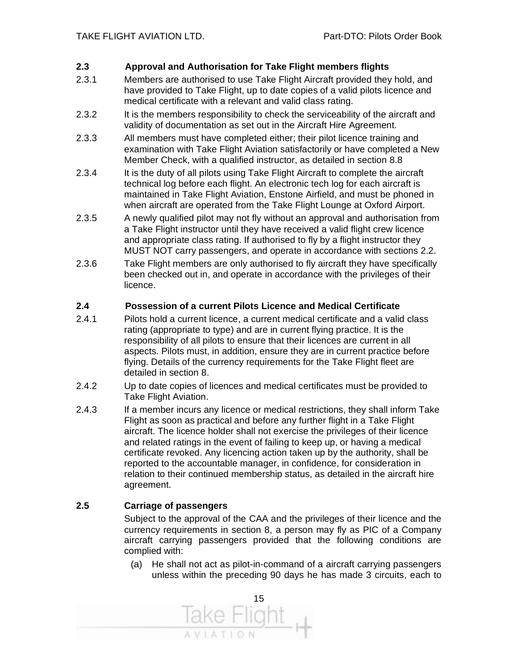#### **2.3 Approval and Authorisation for Take Flight members flights**

- 2.3.1 Members are authorised to use Take Flight Aircraft provided they hold, and have provided to Take Flight, up to date copies of a valid pilots licence and medical certificate with a relevant and valid class rating.
- 2.3.2 It is the members responsibility to check the serviceability of the aircraft and validity of documentation as set out in the Aircraft Hire Agreement.
- 2.3.3 All members must have completed either; their pilot licence training and examination with Take Flight Aviation satisfactorily or have completed a New Member Check, with a qualified instructor, as detailed in section 8.8
- 2.3.4 It is the duty of all pilots using Take Flight Aircraft to complete the aircraft technical log before each flight. An electronic tech log for each aircraft is maintained in Take Flight Aviation, Enstone Airfield, and must be phoned in when aircraft are operated from the Take Flight Lounge at Oxford Airport.
- 2.3.5 A newly qualified pilot may not fly without an approval and authorisation from a Take Flight instructor until they have received a valid flight crew licence and appropriate class rating. If authorised to fly by a flight instructor they MUST NOT carry passengers, and operate in accordance with sections 2.2.
- 2.3.6 Take Flight members are only authorised to fly aircraft they have specifically been checked out in, and operate in accordance with the privileges of their licence.

#### **2.4 Possession of a current Pilots Licence and Medical Certificate**

- 2.4.1 Pilots hold a current licence, a current medical certificate and a valid class rating (appropriate to type) and are in current flying practice. It is the responsibility of all pilots to ensure that their licences are current in all aspects. Pilots must, in addition, ensure they are in current practice before flying. Details of the currency requirements for the Take Flight fleet are detailed in section 8.
- 2.4.2 Up to date copies of licences and medical certificates must be provided to Take Flight Aviation.
- 2.4.3 If a member incurs any licence or medical restrictions, they shall inform Take Flight as soon as practical and before any further flight in a Take Flight aircraft. The licence holder shall not exercise the privileges of their licence and related ratings in the event of failing to keep up, or having a medical certificate revoked. Any licencing action taken up by the authority, shall be reported to the accountable manager, in confidence, for consideration in relation to their continued membership status, as detailed in the aircraft hire agreement.

#### **2.5 Carriage of passengers**

Subject to the approval of the CAA and the privileges of their licence and the currency requirements in section 8, a person may fly as PIC of a Company aircraft carrying passengers provided that the following conditions are complied with:

(a) He shall not act as pilot-in-command of a aircraft carrying passengers unless within the preceding 90 days he has made 3 circuits, each to

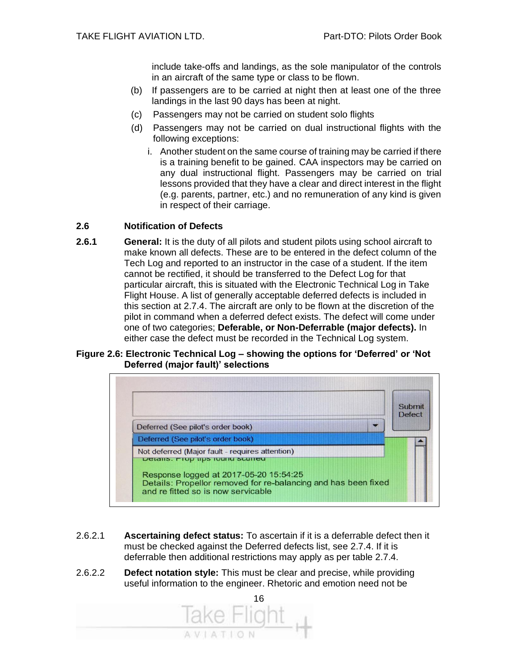include take-offs and landings, as the sole manipulator of the controls in an aircraft of the same type or class to be flown.

- (b) If passengers are to be carried at night then at least one of the three landings in the last 90 days has been at night.
- (c) Passengers may not be carried on student solo flights
- (d) Passengers may not be carried on dual instructional flights with the following exceptions:
	- i. Another student on the same course of training may be carried if there is a training benefit to be gained. CAA inspectors may be carried on any dual instructional flight. Passengers may be carried on trial lessons provided that they have a clear and direct interest in the flight (e.g. parents, partner, etc.) and no remuneration of any kind is given in respect of their carriage.

#### **2.6 Notification of Defects**

**2.6.1 General:** It is the duty of all pilots and student pilots using school aircraft to make known all defects. These are to be entered in the defect column of the Tech Log and reported to an instructor in the case of a student. If the item cannot be rectified, it should be transferred to the Defect Log for that particular aircraft, this is situated with the Electronic Technical Log in Take Flight House. A list of generally acceptable deferred defects is included in this section at 2.7.4. The aircraft are only to be flown at the discretion of the pilot in command when a deferred defect exists. The defect will come under one of two categories; **Deferable, or Non-Deferrable (major defects).** In either case the defect must be recorded in the Technical Log system.

#### **Figure 2.6: Electronic Technical Log – showing the options for 'Deferred' or 'Not Deferred (major fault)' selections**



- 2.6.2.1 **Ascertaining defect status:** To ascertain if it is a deferrable defect then it must be checked against the Deferred defects list, see 2.7.4. If it is deferrable then additional restrictions may apply as per table 2.7.4.
- 2.6.2.2 **Defect notation style:** This must be clear and precise, while providing useful information to the engineer. Rhetoric and emotion need not be

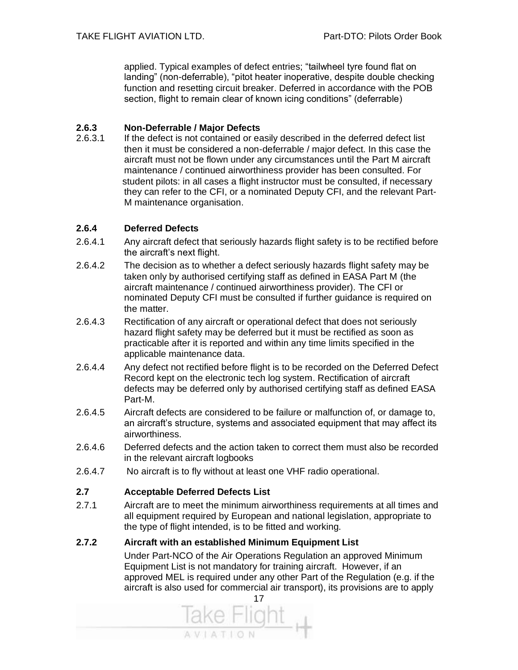applied. Typical examples of defect entries; "tailwheel tyre found flat on landing" (non-deferrable), "pitot heater inoperative, despite double checking function and resetting circuit breaker. Deferred in accordance with the POB section, flight to remain clear of known icing conditions" (deferrable)

#### **2.6.3 Non-Deferrable / Major Defects**

2.6.3.1 If the defect is not contained or easily described in the deferred defect list then it must be considered a non-deferrable / major defect. In this case the aircraft must not be flown under any circumstances until the Part M aircraft maintenance / continued airworthiness provider has been consulted. For student pilots: in all cases a flight instructor must be consulted, if necessary they can refer to the CFI, or a nominated Deputy CFI, and the relevant Part-M maintenance organisation.

#### **2.6.4 Deferred Defects**

- 2.6.4.1 Any aircraft defect that seriously hazards flight safety is to be rectified before the aircraft's next flight.
- 2.6.4.2 The decision as to whether a defect seriously hazards flight safety may be taken only by authorised certifying staff as defined in EASA Part M (the aircraft maintenance / continued airworthiness provider). The CFI or nominated Deputy CFI must be consulted if further guidance is required on the matter.
- 2.6.4.3 Rectification of any aircraft or operational defect that does not seriously hazard flight safety may be deferred but it must be rectified as soon as practicable after it is reported and within any time limits specified in the applicable maintenance data.
- 2.6.4.4 Any defect not rectified before flight is to be recorded on the Deferred Defect Record kept on the electronic tech log system. Rectification of aircraft defects may be deferred only by authorised certifying staff as defined EASA Part-M.
- 2.6.4.5 Aircraft defects are considered to be failure or malfunction of, or damage to, an aircraft's structure, systems and associated equipment that may affect its airworthiness.
- 2.6.4.6 Deferred defects and the action taken to correct them must also be recorded in the relevant aircraft logbooks
- 2.6.4.7 No aircraft is to fly without at least one VHF radio operational.

#### **2.7 Acceptable Deferred Defects List**

2.7.1 Aircraft are to meet the minimum airworthiness requirements at all times and all equipment required by European and national legislation, appropriate to the type of flight intended, is to be fitted and working.

#### **2.7.2 Aircraft with an established Minimum Equipment List**

Under Part-NCO of the Air Operations Regulation an approved Minimum Equipment List is not mandatory for training aircraft. However, if an approved MEL is required under any other Part of the Regulation (e.g. if the aircraft is also used for commercial air transport), its provisions are to apply

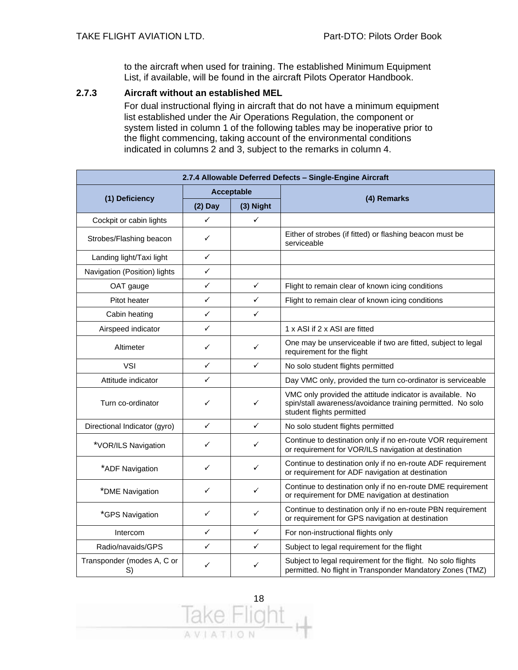to the aircraft when used for training. The established Minimum Equipment List, if available, will be found in the aircraft Pilots Operator Handbook.

#### **2.7.3 Aircraft without an established MEL**

For dual instructional flying in aircraft that do not have a minimum equipment list established under the Air Operations Regulation, the component or system listed in column 1 of the following tables may be inoperative prior to the flight commencing, taking account of the environmental conditions indicated in columns 2 and 3, subject to the remarks in column 4.

| 2.7.4 Allowable Deferred Defects - Single-Engine Aircraft |           |            |                                                                                                                                                      |  |  |
|-----------------------------------------------------------|-----------|------------|------------------------------------------------------------------------------------------------------------------------------------------------------|--|--|
|                                                           |           | Acceptable |                                                                                                                                                      |  |  |
| (1) Deficiency                                            | $(2)$ Day | (3) Night  | (4) Remarks                                                                                                                                          |  |  |
| Cockpit or cabin lights                                   | ✓         | ✓          |                                                                                                                                                      |  |  |
| Strobes/Flashing beacon                                   | ✓         |            | Either of strobes (if fitted) or flashing beacon must be<br>serviceable                                                                              |  |  |
| Landing light/Taxi light                                  | ✓         |            |                                                                                                                                                      |  |  |
| Navigation (Position) lights                              | ✓         |            |                                                                                                                                                      |  |  |
| OAT gauge                                                 | ✓         | ✓          | Flight to remain clear of known icing conditions                                                                                                     |  |  |
| Pitot heater                                              | ✓         | ✓          | Flight to remain clear of known icing conditions                                                                                                     |  |  |
| Cabin heating                                             | ✓         | ✓          |                                                                                                                                                      |  |  |
| Airspeed indicator                                        | ✓         |            | 1 x ASI if 2 x ASI are fitted                                                                                                                        |  |  |
| Altimeter                                                 | ✓         | ✓          | One may be unserviceable if two are fitted, subject to legal<br>requirement for the flight                                                           |  |  |
| <b>VSI</b>                                                | ✓         | ✓          | No solo student flights permitted                                                                                                                    |  |  |
| Attitude indicator                                        | ✓         |            | Day VMC only, provided the turn co-ordinator is serviceable                                                                                          |  |  |
| Turn co-ordinator                                         | ✓         | ✓          | VMC only provided the attitude indicator is available. No<br>spin/stall awareness/avoidance training permitted. No solo<br>student flights permitted |  |  |
| Directional Indicator (gyro)                              | ✓         | ✓          | No solo student flights permitted                                                                                                                    |  |  |
| *VOR/ILS Navigation                                       | ✓         | ✓          | Continue to destination only if no en-route VOR requirement<br>or requirement for VOR/ILS navigation at destination                                  |  |  |
| *ADF Navigation                                           | ✓         | ✓          | Continue to destination only if no en-route ADF requirement<br>or requirement for ADF navigation at destination                                      |  |  |
| *DME Navigation                                           | ✓         | ✓          | Continue to destination only if no en-route DME requirement<br>or requirement for DME navigation at destination                                      |  |  |
| *GPS Navigation                                           | ✓         | ✓          | Continue to destination only if no en-route PBN requirement<br>or requirement for GPS navigation at destination                                      |  |  |
| Intercom                                                  | ✓         | ✓          | For non-instructional flights only                                                                                                                   |  |  |
| Radio/navaids/GPS                                         | ✓         | ✓          | Subject to legal requirement for the flight                                                                                                          |  |  |
| Transponder (modes A, C or<br>S)                          | ✓         | ✓          | Subject to legal requirement for the flight. No solo flights<br>permitted. No flight in Transponder Mandatory Zones (TMZ)                            |  |  |

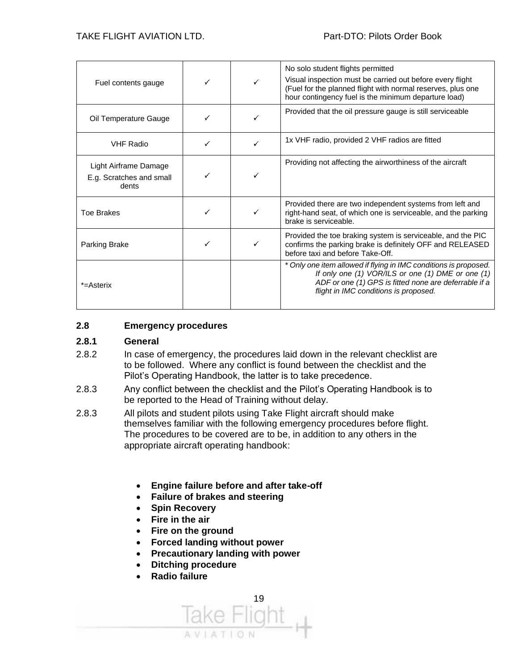| Fuel contents gauge                                        |  | No solo student flights permitted<br>Visual inspection must be carried out before every flight<br>(Fuel for the planned flight with normal reserves, plus one<br>hour contingency fuel is the minimum departure load)   |
|------------------------------------------------------------|--|-------------------------------------------------------------------------------------------------------------------------------------------------------------------------------------------------------------------------|
| Oil Temperature Gauge                                      |  | Provided that the oil pressure gauge is still serviceable                                                                                                                                                               |
| <b>VHF Radio</b>                                           |  | 1x VHF radio, provided 2 VHF radios are fitted                                                                                                                                                                          |
| Light Airframe Damage<br>E.g. Scratches and small<br>dents |  | Providing not affecting the airworthiness of the aircraft                                                                                                                                                               |
| <b>Toe Brakes</b>                                          |  | Provided there are two independent systems from left and<br>right-hand seat, of which one is serviceable, and the parking<br>brake is serviceable.                                                                      |
| Parking Brake                                              |  | Provided the toe braking system is serviceable, and the PIC<br>confirms the parking brake is definitely OFF and RELEASED<br>before taxi and before Take-Off.                                                            |
| *=Asterix                                                  |  | * Only one item allowed if flying in IMC conditions is proposed.<br>If only one (1) VOR/ILS or one (1) DME or one (1)<br>ADF or one (1) GPS is fitted none are deferrable if a<br>flight in IMC conditions is proposed. |

#### **2.8 Emergency procedures**

#### **2.8.1 General**

- 2.8.2 In case of emergency, the procedures laid down in the relevant checklist are to be followed. Where any conflict is found between the checklist and the Pilot's Operating Handbook, the latter is to take precedence.
- 2.8.3 Any conflict between the checklist and the Pilot's Operating Handbook is to be reported to the Head of Training without delay.
- 2.8.3 All pilots and student pilots using Take Flight aircraft should make themselves familiar with the following emergency procedures before flight. The procedures to be covered are to be, in addition to any others in the appropriate aircraft operating handbook:
	- **Engine failure before and after take-off**
	- **Failure of brakes and steering**
	- **Spin Recovery**
	- **Fire in the air**
	- **Fire on the ground**
	- **Forced landing without power**
	- **Precautionary landing with power**
	- **Ditching procedure**
	- **Radio failure**

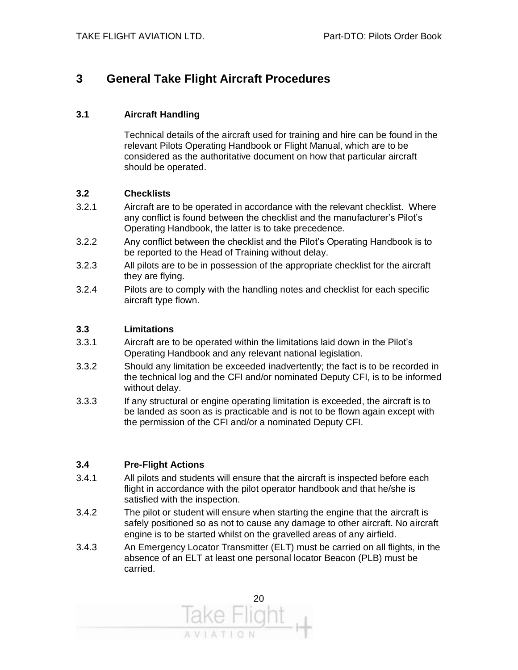#### **3 General Take Flight Aircraft Procedures**

#### **3.1 Aircraft Handling**

Technical details of the aircraft used for training and hire can be found in the relevant Pilots Operating Handbook or Flight Manual, which are to be considered as the authoritative document on how that particular aircraft should be operated.

#### **3.2 Checklists**

- 3.2.1 Aircraft are to be operated in accordance with the relevant checklist. Where any conflict is found between the checklist and the manufacturer's Pilot's Operating Handbook, the latter is to take precedence.
- 3.2.2 Any conflict between the checklist and the Pilot's Operating Handbook is to be reported to the Head of Training without delay.
- 3.2.3 All pilots are to be in possession of the appropriate checklist for the aircraft they are flying.
- 3.2.4 Pilots are to comply with the handling notes and checklist for each specific aircraft type flown.

#### **3.3 Limitations**

- 3.3.1 Aircraft are to be operated within the limitations laid down in the Pilot's Operating Handbook and any relevant national legislation.
- 3.3.2 Should any limitation be exceeded inadvertently; the fact is to be recorded in the technical log and the CFI and/or nominated Deputy CFI, is to be informed without delay.
- 3.3.3 If any structural or engine operating limitation is exceeded, the aircraft is to be landed as soon as is practicable and is not to be flown again except with the permission of the CFI and/or a nominated Deputy CFI.

#### **3.4 Pre-Flight Actions**

- 3.4.1 All pilots and students will ensure that the aircraft is inspected before each flight in accordance with the pilot operator handbook and that he/she is satisfied with the inspection.
- 3.4.2 The pilot or student will ensure when starting the engine that the aircraft is safely positioned so as not to cause any damage to other aircraft. No aircraft engine is to be started whilst on the gravelled areas of any airfield.
- 3.4.3 An Emergency Locator Transmitter (ELT) must be carried on all flights, in the absence of an ELT at least one personal locator Beacon (PLB) must be carried.

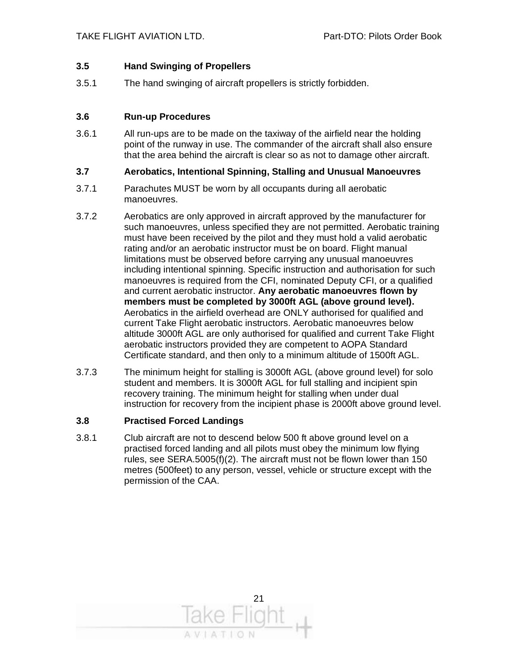#### **3.5 Hand Swinging of Propellers**

3.5.1 The hand swinging of aircraft propellers is strictly forbidden.

#### **3.6 Run-up Procedures**

3.6.1 All run-ups are to be made on the taxiway of the airfield near the holding point of the runway in use. The commander of the aircraft shall also ensure that the area behind the aircraft is clear so as not to damage other aircraft.

#### **3.7 Aerobatics, Intentional Spinning, Stalling and Unusual Manoeuvres**

- 3.7.1 Parachutes MUST be worn by all occupants during all aerobatic manoeuvres.
- 3.7.2 Aerobatics are only approved in aircraft approved by the manufacturer for such manoeuvres, unless specified they are not permitted. Aerobatic training must have been received by the pilot and they must hold a valid aerobatic rating and/or an aerobatic instructor must be on board. Flight manual limitations must be observed before carrying any unusual manoeuvres including intentional spinning. Specific instruction and authorisation for such manoeuvres is required from the CFI, nominated Deputy CFI, or a qualified and current aerobatic instructor. **Any aerobatic manoeuvres flown by members must be completed by 3000ft AGL (above ground level).** Aerobatics in the airfield overhead are ONLY authorised for qualified and current Take Flight aerobatic instructors. Aerobatic manoeuvres below altitude 3000ft AGL are only authorised for qualified and current Take Flight aerobatic instructors provided they are competent to AOPA Standard Certificate standard, and then only to a minimum altitude of 1500ft AGL.
- 3.7.3 The minimum height for stalling is 3000ft AGL (above ground level) for solo student and members. It is 3000ft AGL for full stalling and incipient spin recovery training. The minimum height for stalling when under dual instruction for recovery from the incipient phase is 2000ft above ground level.

#### **3.8 Practised Forced Landings**

3.8.1 Club aircraft are not to descend below 500 ft above ground level on a practised forced landing and all pilots must obey the minimum low flying rules, see SERA.5005(f)(2). The aircraft must not be flown lower than 150 metres (500feet) to any person, vessel, vehicle or structure except with the permission of the CAA.

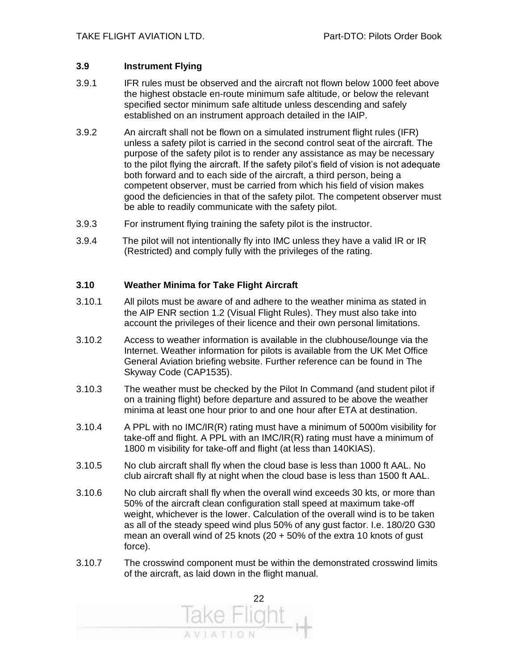#### **3.9 Instrument Flying**

- 3.9.1 IFR rules must be observed and the aircraft not flown below 1000 feet above the highest obstacle en-route minimum safe altitude, or below the relevant specified sector minimum safe altitude unless descending and safely established on an instrument approach detailed in the IAIP.
- 3.9.2 An aircraft shall not be flown on a simulated instrument flight rules (IFR) unless a safety pilot is carried in the second control seat of the aircraft. The purpose of the safety pilot is to render any assistance as may be necessary to the pilot flying the aircraft. If the safety pilot's field of vision is not adequate both forward and to each side of the aircraft, a third person, being a competent observer, must be carried from which his field of vision makes good the deficiencies in that of the safety pilot. The competent observer must be able to readily communicate with the safety pilot.
- 3.9.3 For instrument flying training the safety pilot is the instructor.
- 3.9.4 The pilot will not intentionally fly into IMC unless they have a valid IR or IR (Restricted) and comply fully with the privileges of the rating.

#### **3.10 Weather Minima for Take Flight Aircraft**

- 3.10.1 All pilots must be aware of and adhere to the weather minima as stated in the AIP ENR section 1.2 (Visual Flight Rules). They must also take into account the privileges of their licence and their own personal limitations.
- 3.10.2 Access to weather information is available in the clubhouse/lounge via the Internet. Weather information for pilots is available from the UK Met Office General Aviation briefing website. Further reference can be found in The Skyway Code (CAP1535).
- 3.10.3 The weather must be checked by the Pilot In Command (and student pilot if on a training flight) before departure and assured to be above the weather minima at least one hour prior to and one hour after ETA at destination.
- 3.10.4 A PPL with no IMC/IR(R) rating must have a minimum of 5000m visibility for take-off and flight. A PPL with an IMC/IR(R) rating must have a minimum of 1800 m visibility for take-off and flight (at less than 140KIAS).
- 3.10.5 No club aircraft shall fly when the cloud base is less than 1000 ft AAL. No club aircraft shall fly at night when the cloud base is less than 1500 ft AAL.
- 3.10.6 No club aircraft shall fly when the overall wind exceeds 30 kts, or more than 50% of the aircraft clean configuration stall speed at maximum take-off weight, whichever is the lower. Calculation of the overall wind is to be taken as all of the steady speed wind plus 50% of any gust factor. I.e. 180/20 G30 mean an overall wind of 25 knots (20  $+$  50% of the extra 10 knots of gust force).
- 3.10.7 The crosswind component must be within the demonstrated crosswind limits of the aircraft, as laid down in the flight manual.

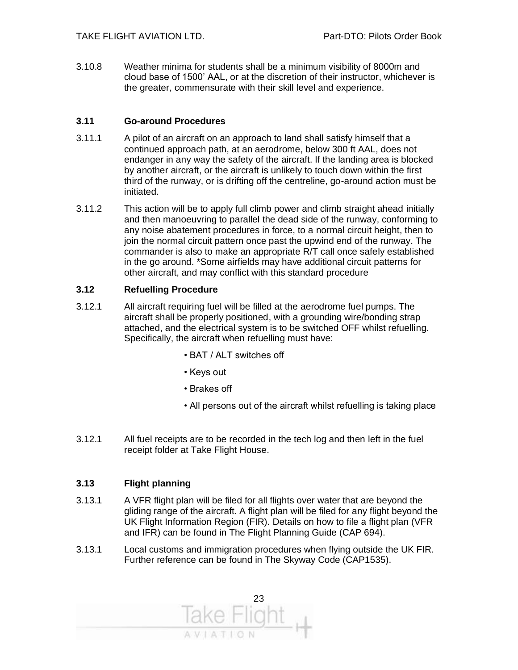3.10.8 Weather minima for students shall be a minimum visibility of 8000m and cloud base of 1500' AAL, or at the discretion of their instructor, whichever is the greater, commensurate with their skill level and experience.

#### **3.11 Go-around Procedures**

- 3.11.1 A pilot of an aircraft on an approach to land shall satisfy himself that a continued approach path, at an aerodrome, below 300 ft AAL, does not endanger in any way the safety of the aircraft. If the landing area is blocked by another aircraft, or the aircraft is unlikely to touch down within the first third of the runway, or is drifting off the centreline, go-around action must be initiated.
- 3.11.2 This action will be to apply full climb power and climb straight ahead initially and then manoeuvring to parallel the dead side of the runway, conforming to any noise abatement procedures in force, to a normal circuit height, then to join the normal circuit pattern once past the upwind end of the runway. The commander is also to make an appropriate R/T call once safely established in the go around. \*Some airfields may have additional circuit patterns for other aircraft, and may conflict with this standard procedure

#### **3.12 Refuelling Procedure**

- 3.12.1 All aircraft requiring fuel will be filled at the aerodrome fuel pumps. The aircraft shall be properly positioned, with a grounding wire/bonding strap attached, and the electrical system is to be switched OFF whilst refuelling. Specifically, the aircraft when refuelling must have:
	- BAT / ALT switches off
	- Keys out
	- Brakes off
	- All persons out of the aircraft whilst refuelling is taking place
- 3.12.1 All fuel receipts are to be recorded in the tech log and then left in the fuel receipt folder at Take Flight House.

#### **3.13 Flight planning**

- 3.13.1 A VFR flight plan will be filed for all flights over water that are beyond the gliding range of the aircraft. A flight plan will be filed for any flight beyond the UK Flight Information Region (FIR). Details on how to file a flight plan (VFR and IFR) can be found in The Flight Planning Guide (CAP 694).
- 3.13.1 Local customs and immigration procedures when flying outside the UK FIR. Further reference can be found in The Skyway Code (CAP1535).

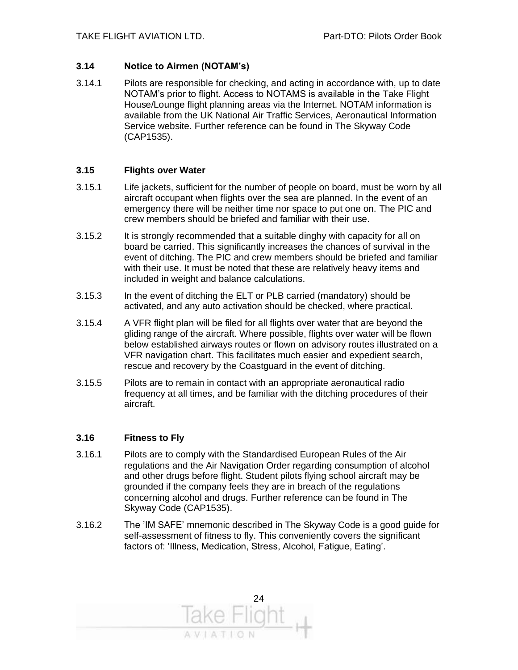#### **3.14 Notice to Airmen (NOTAM's)**

3.14.1 Pilots are responsible for checking, and acting in accordance with, up to date NOTAM's prior to flight. Access to NOTAMS is available in the Take Flight House/Lounge flight planning areas via the Internet. NOTAM information is available from the UK National Air Traffic Services, Aeronautical Information Service website. Further reference can be found in The Skyway Code (CAP1535).

#### **3.15 Flights over Water**

- 3.15.1 Life jackets, sufficient for the number of people on board, must be worn by all aircraft occupant when flights over the sea are planned. In the event of an emergency there will be neither time nor space to put one on. The PIC and crew members should be briefed and familiar with their use.
- 3.15.2 It is strongly recommended that a suitable dinghy with capacity for all on board be carried. This significantly increases the chances of survival in the event of ditching. The PIC and crew members should be briefed and familiar with their use. It must be noted that these are relatively heavy items and included in weight and balance calculations.
- 3.15.3 In the event of ditching the ELT or PLB carried (mandatory) should be activated, and any auto activation should be checked, where practical.
- 3.15.4 A VFR flight plan will be filed for all flights over water that are beyond the gliding range of the aircraft. Where possible, flights over water will be flown below established airways routes or flown on advisory routes illustrated on a VFR navigation chart. This facilitates much easier and expedient search, rescue and recovery by the Coastguard in the event of ditching.
- 3.15.5 Pilots are to remain in contact with an appropriate aeronautical radio frequency at all times, and be familiar with the ditching procedures of their aircraft.

#### **3.16 Fitness to Fly**

- 3.16.1 Pilots are to comply with the Standardised European Rules of the Air regulations and the Air Navigation Order regarding consumption of alcohol and other drugs before flight. Student pilots flying school aircraft may be grounded if the company feels they are in breach of the regulations concerning alcohol and drugs. Further reference can be found in The Skyway Code (CAP1535).
- 3.16.2 The 'IM SAFE' mnemonic described in The Skyway Code is a good guide for self-assessment of fitness to fly. This conveniently covers the significant factors of: 'Illness, Medication, Stress, Alcohol, Fatigue, Eating'.

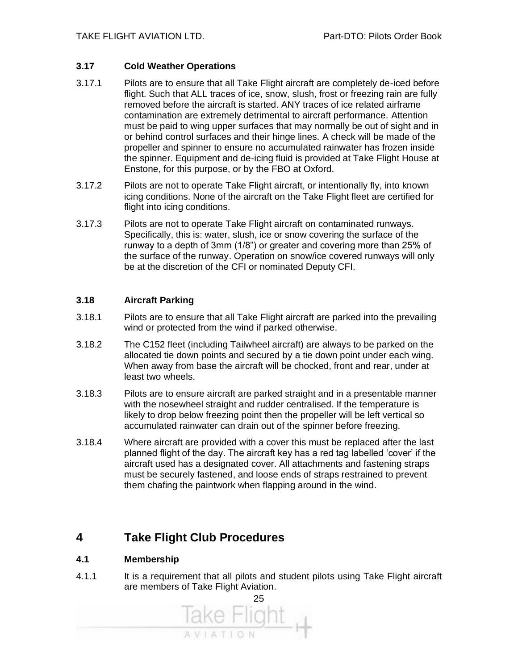#### **3.17 Cold Weather Operations**

- 3.17.1 Pilots are to ensure that all Take Flight aircraft are completely de-iced before flight. Such that ALL traces of ice, snow, slush, frost or freezing rain are fully removed before the aircraft is started. ANY traces of ice related airframe contamination are extremely detrimental to aircraft performance. Attention must be paid to wing upper surfaces that may normally be out of sight and in or behind control surfaces and their hinge lines. A check will be made of the propeller and spinner to ensure no accumulated rainwater has frozen inside the spinner. Equipment and de-icing fluid is provided at Take Flight House at Enstone, for this purpose, or by the FBO at Oxford.
- 3.17.2 Pilots are not to operate Take Flight aircraft, or intentionally fly, into known icing conditions. None of the aircraft on the Take Flight fleet are certified for flight into icing conditions.
- 3.17.3 Pilots are not to operate Take Flight aircraft on contaminated runways. Specifically, this is: water, slush, ice or snow covering the surface of the runway to a depth of 3mm (1/8") or greater and covering more than 25% of the surface of the runway. Operation on snow/ice covered runways will only be at the discretion of the CFI or nominated Deputy CFI.

#### **3.18 Aircraft Parking**

- 3.18.1 Pilots are to ensure that all Take Flight aircraft are parked into the prevailing wind or protected from the wind if parked otherwise.
- 3.18.2 The C152 fleet (including Tailwheel aircraft) are always to be parked on the allocated tie down points and secured by a tie down point under each wing. When away from base the aircraft will be chocked, front and rear, under at least two wheels.
- 3.18.3 Pilots are to ensure aircraft are parked straight and in a presentable manner with the nosewheel straight and rudder centralised. If the temperature is likely to drop below freezing point then the propeller will be left vertical so accumulated rainwater can drain out of the spinner before freezing.
- 3.18.4 Where aircraft are provided with a cover this must be replaced after the last planned flight of the day. The aircraft key has a red tag labelled 'cover' if the aircraft used has a designated cover. All attachments and fastening straps must be securely fastened, and loose ends of straps restrained to prevent them chafing the paintwork when flapping around in the wind.

#### **4 Take Flight Club Procedures**

#### **4.1 Membership**

4.1.1 It is a requirement that all pilots and student pilots using Take Flight aircraft are members of Take Flight Aviation.

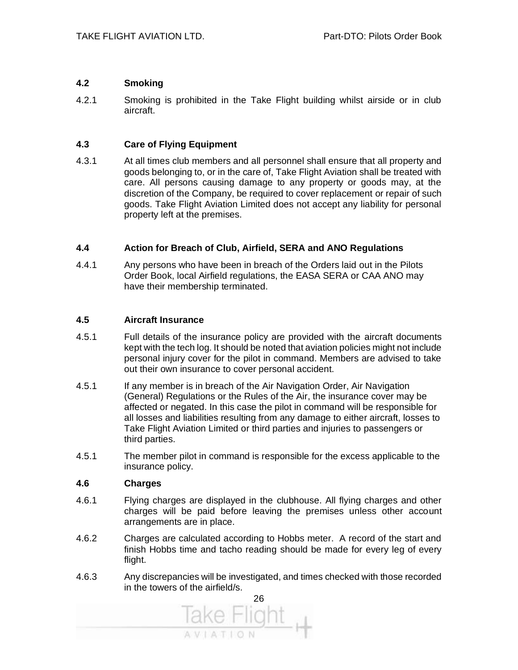#### **4.2 Smoking**

4.2.1 Smoking is prohibited in the Take Flight building whilst airside or in club aircraft.

#### **4.3 Care of Flying Equipment**

4.3.1 At all times club members and all personnel shall ensure that all property and goods belonging to, or in the care of, Take Flight Aviation shall be treated with care. All persons causing damage to any property or goods may, at the discretion of the Company, be required to cover replacement or repair of such goods. Take Flight Aviation Limited does not accept any liability for personal property left at the premises.

#### **4.4 Action for Breach of Club, Airfield, SERA and ANO Regulations**

4.4.1 Any persons who have been in breach of the Orders laid out in the Pilots Order Book, local Airfield regulations, the EASA SERA or CAA ANO may have their membership terminated.

#### **4.5 Aircraft Insurance**

- 4.5.1 Full details of the insurance policy are provided with the aircraft documents kept with the tech log. It should be noted that aviation policies might not include personal injury cover for the pilot in command. Members are advised to take out their own insurance to cover personal accident.
- 4.5.1 If any member is in breach of the Air Navigation Order, Air Navigation (General) Regulations or the Rules of the Air, the insurance cover may be affected or negated. In this case the pilot in command will be responsible for all losses and liabilities resulting from any damage to either aircraft, losses to Take Flight Aviation Limited or third parties and injuries to passengers or third parties.
- 4.5.1 The member pilot in command is responsible for the excess applicable to the insurance policy.

#### **4.6 Charges**

- 4.6.1 Flying charges are displayed in the clubhouse. All flying charges and other charges will be paid before leaving the premises unless other account arrangements are in place.
- 4.6.2 Charges are calculated according to Hobbs meter. A record of the start and finish Hobbs time and tacho reading should be made for every leg of every flight.
- 4.6.3 Any discrepancies will be investigated, and times checked with those recorded in the towers of the airfield/s.

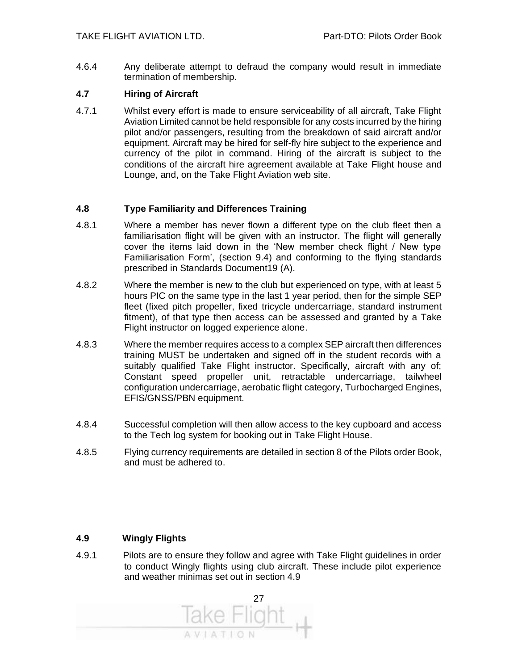4.6.4 Any deliberate attempt to defraud the company would result in immediate termination of membership.

#### **4.7 Hiring of Aircraft**

4.7.1 Whilst every effort is made to ensure serviceability of all aircraft, Take Flight Aviation Limited cannot be held responsible for any costs incurred by the hiring pilot and/or passengers, resulting from the breakdown of said aircraft and/or equipment. Aircraft may be hired for self-fly hire subject to the experience and currency of the pilot in command. Hiring of the aircraft is subject to the conditions of the aircraft hire agreement available at Take Flight house and Lounge, and, on the Take Flight Aviation web site.

#### **4.8 Type Familiarity and Differences Training**

- 4.8.1 Where a member has never flown a different type on the club fleet then a familiarisation flight will be given with an instructor. The flight will generally cover the items laid down in the 'New member check flight / New type Familiarisation Form', (section 9.4) and conforming to the flying standards prescribed in Standards Document19 (A).
- 4.8.2 Where the member is new to the club but experienced on type, with at least 5 hours PIC on the same type in the last 1 year period, then for the simple SEP fleet (fixed pitch propeller, fixed tricycle undercarriage, standard instrument fitment), of that type then access can be assessed and granted by a Take Flight instructor on logged experience alone.
- 4.8.3 Where the member requires access to a complex SEP aircraft then differences training MUST be undertaken and signed off in the student records with a suitably qualified Take Flight instructor. Specifically, aircraft with any of; Constant speed propeller unit, retractable undercarriage, tailwheel configuration undercarriage, aerobatic flight category, Turbocharged Engines, EFIS/GNSS/PBN equipment.
- 4.8.4 Successful completion will then allow access to the key cupboard and access to the Tech log system for booking out in Take Flight House.
- 4.8.5 Flying currency requirements are detailed in section 8 of the Pilots order Book, and must be adhered to.

#### **4.9 Wingly Flights**

4.9.1 Pilots are to ensure they follow and agree with Take Flight guidelines in order to conduct Wingly flights using club aircraft. These include pilot experience and weather minimas set out in section 4.9

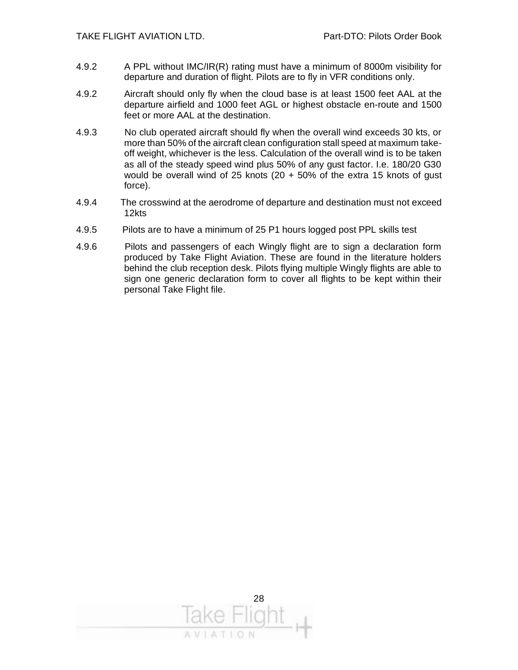- 4.9.2 A PPL without IMC/IR(R) rating must have a minimum of 8000m visibility for departure and duration of flight. Pilots are to fly in VFR conditions only.
- 4.9.2 Aircraft should only fly when the cloud base is at least 1500 feet AAL at the departure airfield and 1000 feet AGL or highest obstacle en-route and 1500 feet or more AAL at the destination.
- 4.9.3 No club operated aircraft should fly when the overall wind exceeds 30 kts, or more than 50% of the aircraft clean configuration stall speed at maximum takeoff weight, whichever is the less. Calculation of the overall wind is to be taken as all of the steady speed wind plus 50% of any gust factor. I.e. 180/20 G30 would be overall wind of 25 knots (20 + 50% of the extra 15 knots of gust force).
- 4.9.4 The crosswind at the aerodrome of departure and destination must not exceed 12kts
- 4.9.5 Pilots are to have a minimum of 25 P1 hours logged post PPL skills test
- 4.9.6 Pilots and passengers of each Wingly flight are to sign a declaration form produced by Take Flight Aviation. These are found in the literature holders behind the club reception desk. Pilots flying multiple Wingly flights are able to sign one generic declaration form to cover all flights to be kept within their personal Take Flight file.

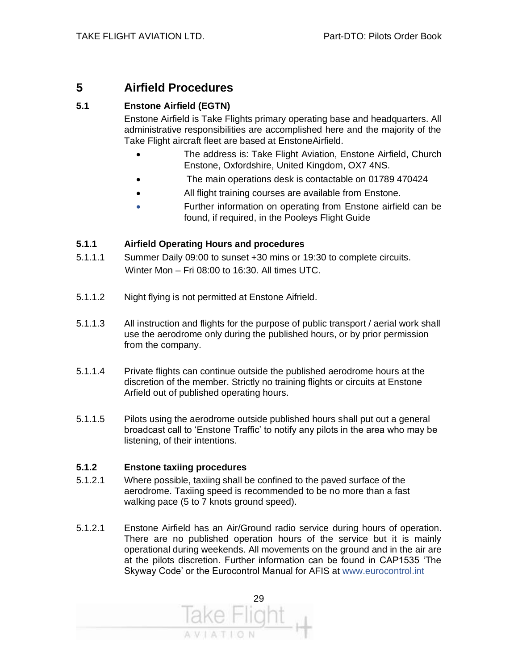#### **5 Airfield Procedures**

#### **5.1 Enstone Airfield (EGTN)**

Enstone Airfield is Take Flights primary operating base and headquarters. All administrative responsibilities are accomplished here and the majority of the Take Flight aircraft fleet are based at EnstoneAirfield.

- The address is: Take Flight Aviation, Enstone Airfield, Church Enstone, Oxfordshire, United Kingdom, OX7 4NS.
- The main operations desk is contactable on 01789 470424
- All flight training courses are available from Enstone.
- Further information on operating from Enstone airfield can be found, if required, in the Pooleys Flight Guide

#### **5.1.1 Airfield Operating Hours and procedures**

- 5.1.1.1 Summer Daily 09:00 to sunset +30 mins or 19:30 to complete circuits. Winter Mon – Fri 08:00 to 16:30. All times UTC.
- 5.1.1.2 Night flying is not permitted at Enstone Aifrield.
- 5.1.1.3 All instruction and flights for the purpose of public transport / aerial work shall use the aerodrome only during the published hours, or by prior permission from the company.
- 5.1.1.4 Private flights can continue outside the published aerodrome hours at the discretion of the member. Strictly no training flights or circuits at Enstone Arfield out of published operating hours.
- 5.1.1.5 Pilots using the aerodrome outside published hours shall put out a general broadcast call to 'Enstone Traffic' to notify any pilots in the area who may be listening, of their intentions.

#### **5.1.2 Enstone taxiing procedures**

- 5.1.2.1 Where possible, taxiing shall be confined to the paved surface of the aerodrome. Taxiing speed is recommended to be no more than a fast walking pace (5 to 7 knots ground speed).
- 5.1.2.1 Enstone Airfield has an Air/Ground radio service during hours of operation. There are no published operation hours of the service but it is mainly operational during weekends. All movements on the ground and in the air are at the pilots discretion. Further information can be found in CAP1535 'The Skyway Code' or the Eurocontrol Manual for AFIS at www.eurocontrol.int

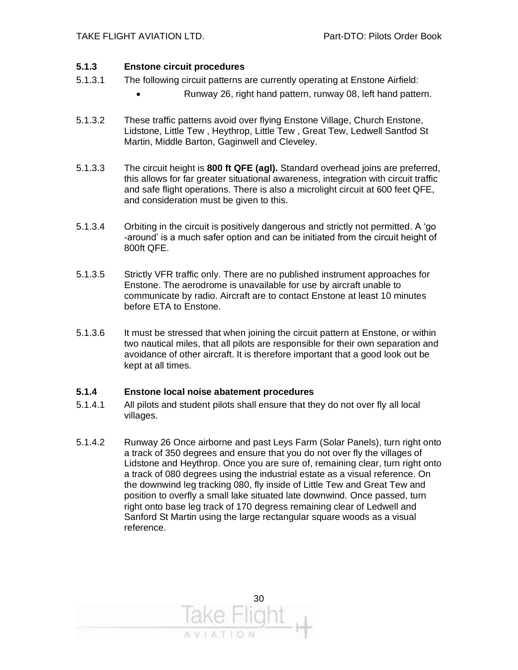#### **5.1.3 Enstone circuit procedures**

- 5.1.3.1 The following circuit patterns are currently operating at Enstone Airfield:
	- Runway 26, right hand pattern, runway 08, left hand pattern.
- 5.1.3.2 These traffic patterns avoid over flying Enstone Village, Church Enstone, Lidstone, Little Tew , Heythrop, Little Tew , Great Tew, Ledwell Santfod St Martin, Middle Barton, Gaginwell and Cleveley.
- 5.1.3.3 The circuit height is **800 ft QFE (agl).** Standard overhead joins are preferred, this allows for far greater situational awareness, integration with circuit traffic and safe flight operations. There is also a microlight circuit at 600 feet QFE, and consideration must be given to this.
- 5.1.3.4 Orbiting in the circuit is positively dangerous and strictly not permitted. A 'go -around' is a much safer option and can be initiated from the circuit height of 800ft QFE.
- 5.1.3.5 Strictly VFR traffic only. There are no published instrument approaches for Enstone. The aerodrome is unavailable for use by aircraft unable to communicate by radio. Aircraft are to contact Enstone at least 10 minutes before ETA to Enstone.
- 5.1.3.6 It must be stressed that when joining the circuit pattern at Enstone, or within two nautical miles, that all pilots are responsible for their own separation and avoidance of other aircraft. It is therefore important that a good look out be kept at all times.

#### **5.1.4 Enstone local noise abatement procedures**

- 5.1.4.1 All pilots and student pilots shall ensure that they do not over fly all local villages.
- 5.1.4.2 Runway 26 Once airborne and past Leys Farm (Solar Panels), turn right onto a track of 350 degrees and ensure that you do not over fly the villages of Lidstone and Heythrop. Once you are sure of, remaining clear, turn right onto a track of 080 degrees using the industrial estate as a visual reference. On the downwind leg tracking 080, fly inside of Little Tew and Great Tew and position to overfly a small lake situated late downwind. Once passed, turn right onto base leg track of 170 degress remaining clear of Ledwell and Sanford St Martin using the large rectangular square woods as a visual reference.

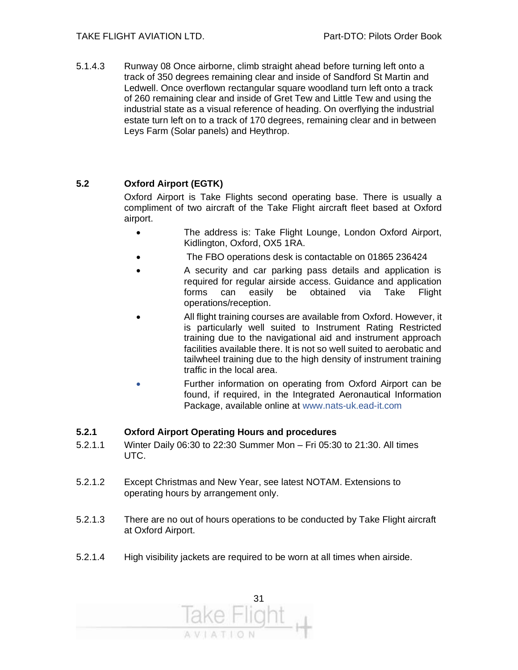5.1.4.3 Runway 08 Once airborne, climb straight ahead before turning left onto a track of 350 degrees remaining clear and inside of Sandford St Martin and Ledwell. Once overflown rectangular square woodland turn left onto a track of 260 remaining clear and inside of Gret Tew and Little Tew and using the industrial state as a visual reference of heading. On overflying the industrial estate turn left on to a track of 170 degrees, remaining clear and in between Leys Farm (Solar panels) and Heythrop.

#### **5.2 Oxford Airport (EGTK)**

Oxford Airport is Take Flights second operating base. There is usually a compliment of two aircraft of the Take Flight aircraft fleet based at Oxford airport.

- The address is: Take Flight Lounge, London Oxford Airport, Kidlington, Oxford, OX5 1RA.
- The FBO operations desk is contactable on 01865 236424
- A security and car parking pass details and application is required for regular airside access. Guidance and application forms can easily be obtained via Take Flight operations/reception.
- All flight training courses are available from Oxford. However, it is particularly well suited to Instrument Rating Restricted training due to the navigational aid and instrument approach facilities available there. It is not so well suited to aerobatic and tailwheel training due to the high density of instrument training traffic in the local area.
- Further information on operating from Oxford Airport can be found, if required, in the Integrated Aeronautical Information Package, available online at www.nats-uk.ead-it.com

#### **5.2.1 Oxford Airport Operating Hours and procedures**

- 5.2.1.1 Winter Daily 06:30 to 22:30 Summer Mon Fri 05:30 to 21:30. All times UTC.
- 5.2.1.2 Except Christmas and New Year, see latest NOTAM. Extensions to operating hours by arrangement only.
- 5.2.1.3 There are no out of hours operations to be conducted by Take Flight aircraft at Oxford Airport.
- 5.2.1.4 High visibility jackets are required to be worn at all times when airside.

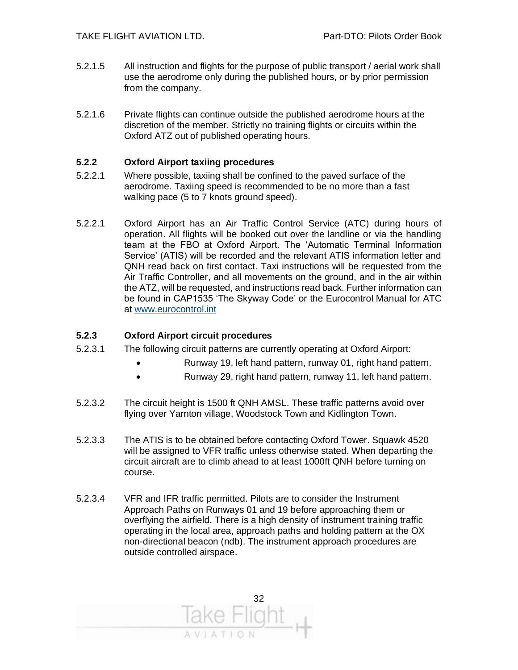- 5.2.1.5 All instruction and flights for the purpose of public transport / aerial work shall use the aerodrome only during the published hours, or by prior permission from the company.
- 5.2.1.6 Private flights can continue outside the published aerodrome hours at the discretion of the member. Strictly no training flights or circuits within the Oxford ATZ out of published operating hours.

#### **5.2.2 Oxford Airport taxiing procedures**

- 5.2.2.1 Where possible, taxiing shall be confined to the paved surface of the aerodrome. Taxiing speed is recommended to be no more than a fast walking pace (5 to 7 knots ground speed).
- 5.2.2.1 Oxford Airport has an Air Traffic Control Service (ATC) during hours of operation. All flights will be booked out over the landline or via the handling team at the FBO at Oxford Airport. The 'Automatic Terminal Information Service' (ATIS) will be recorded and the relevant ATIS information letter and QNH read back on first contact. Taxi instructions will be requested from the Air Traffic Controller, and all movements on the ground, and in the air within the ATZ, will be requested, and instructions read back. Further information can be found in CAP1535 'The Skyway Code' or the Eurocontrol Manual for ATC at [www.eurocontrol.int](http://www.eurocontrol.int/)

#### **5.2.3 Oxford Airport circuit procedures**

- 5.2.3.1 The following circuit patterns are currently operating at Oxford Airport:
	- Runway 19, left hand pattern, runway 01, right hand pattern.
	- Runway 29, right hand pattern, runway 11, left hand pattern.
- 5.2.3.2 The circuit height is 1500 ft QNH AMSL. These traffic patterns avoid over flying over Yarnton village, Woodstock Town and Kidlington Town.
- 5.2.3.3 The ATIS is to be obtained before contacting Oxford Tower. Squawk 4520 will be assigned to VFR traffic unless otherwise stated. When departing the circuit aircraft are to climb ahead to at least 1000ft QNH before turning on course.
- 5.2.3.4 VFR and IFR traffic permitted. Pilots are to consider the Instrument Approach Paths on Runways 01 and 19 before approaching them or overflying the airfield. There is a high density of instrument training traffic operating in the local area, approach paths and holding pattern at the OX non-directional beacon (ndb). The instrument approach procedures are outside controlled airspace.

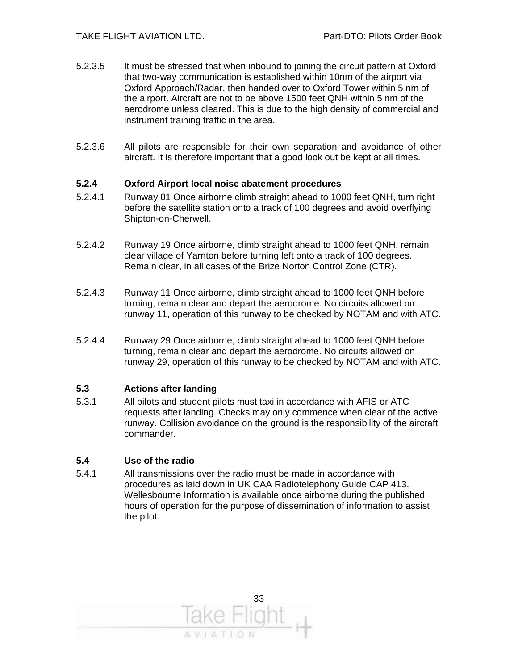- 5.2.3.5 It must be stressed that when inbound to joining the circuit pattern at Oxford that two-way communication is established within 10nm of the airport via Oxford Approach/Radar, then handed over to Oxford Tower within 5 nm of the airport. Aircraft are not to be above 1500 feet QNH within 5 nm of the aerodrome unless cleared. This is due to the high density of commercial and instrument training traffic in the area.
- 5.2.3.6 All pilots are responsible for their own separation and avoidance of other aircraft. It is therefore important that a good look out be kept at all times.

#### **5.2.4 Oxford Airport local noise abatement procedures**

- 5.2.4.1 Runway 01 Once airborne climb straight ahead to 1000 feet QNH, turn right before the satellite station onto a track of 100 degrees and avoid overflying Shipton-on-Cherwell.
- 5.2.4.2 Runway 19 Once airborne, climb straight ahead to 1000 feet QNH, remain clear village of Yarnton before turning left onto a track of 100 degrees. Remain clear, in all cases of the Brize Norton Control Zone (CTR).
- 5.2.4.3 Runway 11 Once airborne, climb straight ahead to 1000 feet QNH before turning, remain clear and depart the aerodrome. No circuits allowed on runway 11, operation of this runway to be checked by NOTAM and with ATC.
- 5.2.4.4 Runway 29 Once airborne, climb straight ahead to 1000 feet QNH before turning, remain clear and depart the aerodrome. No circuits allowed on runway 29, operation of this runway to be checked by NOTAM and with ATC.

#### **5.3 Actions after landing**

5.3.1 All pilots and student pilots must taxi in accordance with AFIS or ATC requests after landing. Checks may only commence when clear of the active runway. Collision avoidance on the ground is the responsibility of the aircraft commander.

#### **5.4 Use of the radio**

5.4.1 All transmissions over the radio must be made in accordance with procedures as laid down in UK CAA Radiotelephony Guide CAP 413. Wellesbourne Information is available once airborne during the published hours of operation for the purpose of dissemination of information to assist the pilot.

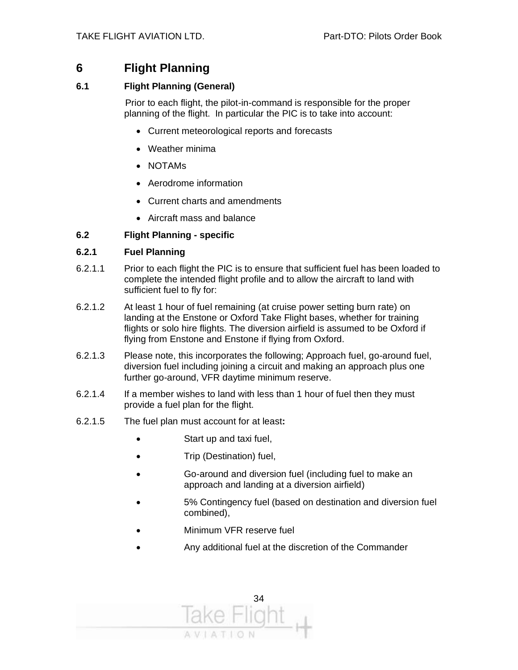#### **6 Flight Planning**

#### **6.1 Flight Planning (General)**

 Prior to each flight, the pilot-in-command is responsible for the proper planning of the flight. In particular the PIC is to take into account:

- Current meteorological reports and forecasts
- Weather minima
- NOTAMs
- Aerodrome information
- Current charts and amendments
- Aircraft mass and balance

#### **6.2 Flight Planning - specific**

#### **6.2.1 Fuel Planning**

- 6.2.1.1 Prior to each flight the PIC is to ensure that sufficient fuel has been loaded to complete the intended flight profile and to allow the aircraft to land with sufficient fuel to fly for:
- 6.2.1.2 At least 1 hour of fuel remaining (at cruise power setting burn rate) on landing at the Enstone or Oxford Take Flight bases, whether for training flights or solo hire flights. The diversion airfield is assumed to be Oxford if flying from Enstone and Enstone if flying from Oxford.
- 6.2.1.3 Please note, this incorporates the following; Approach fuel, go-around fuel, diversion fuel including joining a circuit and making an approach plus one further go-around, VFR daytime minimum reserve.
- 6.2.1.4 If a member wishes to land with less than 1 hour of fuel then they must provide a fuel plan for the flight.
- 6.2.1.5 The fuel plan must account for at least**:** 
	- Start up and taxi fuel,
	- Trip (Destination) fuel,
	- Go-around and diversion fuel (including fuel to make an approach and landing at a diversion airfield)
	- 5% Contingency fuel (based on destination and diversion fuel combined),
	- Minimum VFR reserve fuel
	- Any additional fuel at the discretion of the Commander

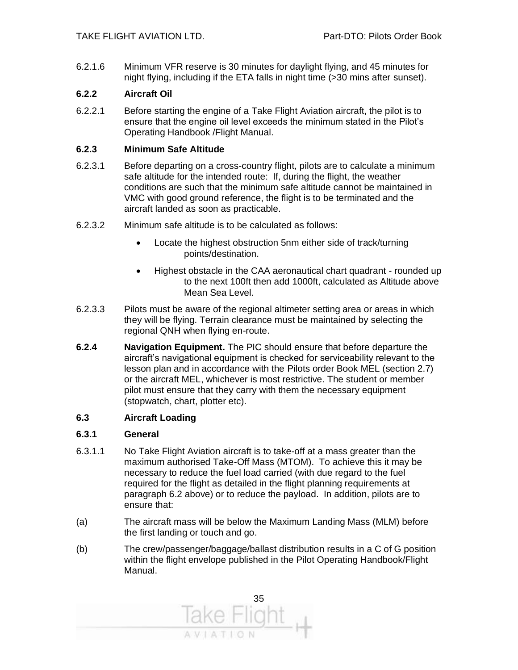6.2.1.6 Minimum VFR reserve is 30 minutes for daylight flying, and 45 minutes for night flying, including if the ETA falls in night time (>30 mins after sunset).

#### **6.2.2 Aircraft Oil**

6.2.2.1 Before starting the engine of a Take Flight Aviation aircraft, the pilot is to ensure that the engine oil level exceeds the minimum stated in the Pilot's Operating Handbook /Flight Manual.

#### **6.2.3 Minimum Safe Altitude**

- 6.2.3.1 Before departing on a cross-country flight, pilots are to calculate a minimum safe altitude for the intended route: If, during the flight, the weather conditions are such that the minimum safe altitude cannot be maintained in VMC with good ground reference, the flight is to be terminated and the aircraft landed as soon as practicable.
- 6.2.3.2 Minimum safe altitude is to be calculated as follows:
	- Locate the highest obstruction 5nm either side of track/turning points/destination.
	- Highest obstacle in the CAA aeronautical chart quadrant rounded up to the next 100ft then add 1000ft, calculated as Altitude above Mean Sea Level.
- 6.2.3.3 Pilots must be aware of the regional altimeter setting area or areas in which they will be flying. Terrain clearance must be maintained by selecting the regional QNH when flying en-route.
- **6.2.4 Navigation Equipment.** The PIC should ensure that before departure the aircraft's navigational equipment is checked for serviceability relevant to the lesson plan and in accordance with the Pilots order Book MEL (section 2.7) or the aircraft MEL, whichever is most restrictive. The student or member pilot must ensure that they carry with them the necessary equipment (stopwatch, chart, plotter etc).

#### **6.3 Aircraft Loading**

#### **6.3.1 General**

- 6.3.1.1 No Take Flight Aviation aircraft is to take-off at a mass greater than the maximum authorised Take-Off Mass (MTOM). To achieve this it may be necessary to reduce the fuel load carried (with due regard to the fuel required for the flight as detailed in the flight planning requirements at paragraph 6.2 above) or to reduce the payload. In addition, pilots are to ensure that:
- (a) The aircraft mass will be below the Maximum Landing Mass (MLM) before the first landing or touch and go.
- (b) The crew/passenger/baggage/ballast distribution results in a C of G position within the flight envelope published in the Pilot Operating Handbook/Flight Manual.

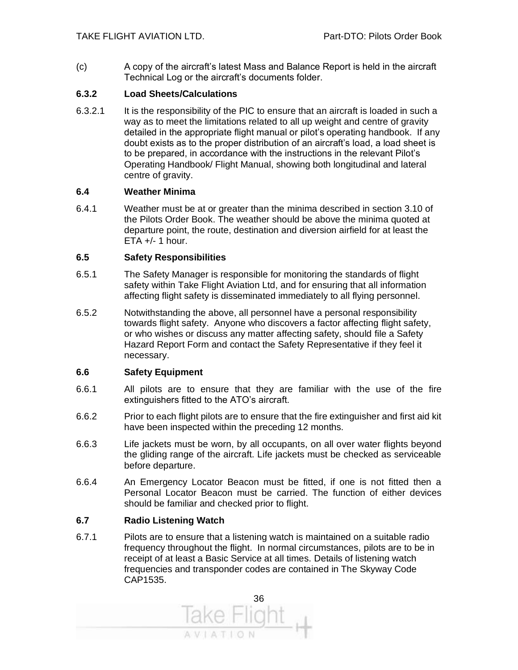(c) A copy of the aircraft's latest Mass and Balance Report is held in the aircraft Technical Log or the aircraft's documents folder.

#### **6.3.2 Load Sheets/Calculations**

6.3.2.1 It is the responsibility of the PIC to ensure that an aircraft is loaded in such a way as to meet the limitations related to all up weight and centre of gravity detailed in the appropriate flight manual or pilot's operating handbook. If any doubt exists as to the proper distribution of an aircraft's load, a load sheet is to be prepared, in accordance with the instructions in the relevant Pilot's Operating Handbook/ Flight Manual, showing both longitudinal and lateral centre of gravity.

#### **6.4 Weather Minima**

6.4.1 Weather must be at or greater than the minima described in section 3.10 of the Pilots Order Book. The weather should be above the minima quoted at departure point, the route, destination and diversion airfield for at least the  $ETA +/- 1 hour.$ 

#### **6.5 Safety Responsibilities**

- 6.5.1 The Safety Manager is responsible for monitoring the standards of flight safety within Take Flight Aviation Ltd, and for ensuring that all information affecting flight safety is disseminated immediately to all flying personnel.
- 6.5.2 Notwithstanding the above, all personnel have a personal responsibility towards flight safety. Anyone who discovers a factor affecting flight safety, or who wishes or discuss any matter affecting safety, should file a Safety Hazard Report Form and contact the Safety Representative if they feel it necessary.

#### **6.6 Safety Equipment**

- 6.6.1 All pilots are to ensure that they are familiar with the use of the fire extinguishers fitted to the ATO's aircraft.
- 6.6.2 Prior to each flight pilots are to ensure that the fire extinguisher and first aid kit have been inspected within the preceding 12 months.
- 6.6.3 Life jackets must be worn, by all occupants, on all over water flights beyond the gliding range of the aircraft. Life jackets must be checked as serviceable before departure.
- 6.6.4 An Emergency Locator Beacon must be fitted, if one is not fitted then a Personal Locator Beacon must be carried. The function of either devices should be familiar and checked prior to flight.

#### **6.7 Radio Listening Watch**

6.7.1 Pilots are to ensure that a listening watch is maintained on a suitable radio frequency throughout the flight. In normal circumstances, pilots are to be in receipt of at least a Basic Service at all times. Details of listening watch frequencies and transponder codes are contained in The Skyway Code CAP1535.

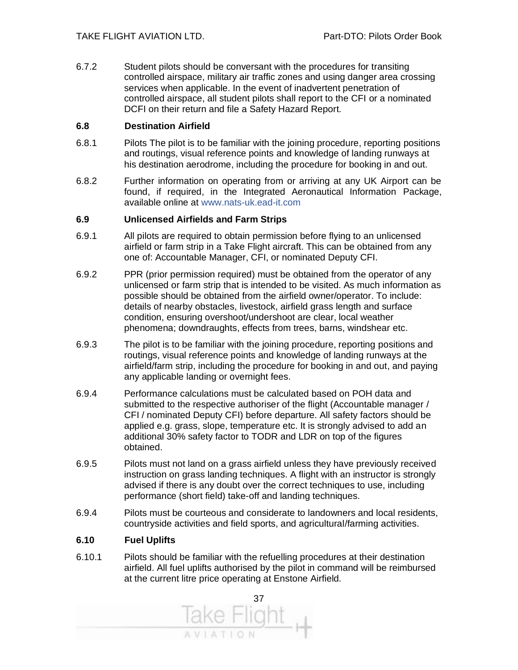6.7.2 Student pilots should be conversant with the procedures for transiting controlled airspace, military air traffic zones and using danger area crossing services when applicable. In the event of inadvertent penetration of controlled airspace, all student pilots shall report to the CFI or a nominated DCFI on their return and file a Safety Hazard Report.

#### **6.8 Destination Airfield**

- 6.8.1 Pilots The pilot is to be familiar with the joining procedure, reporting positions and routings, visual reference points and knowledge of landing runways at his destination aerodrome, including the procedure for booking in and out.
- 6.8.2 Further information on operating from or arriving at any UK Airport can be found, if required, in the Integrated Aeronautical Information Package, available online at www.nats-uk.ead-it.com

#### **6.9 Unlicensed Airfields and Farm Strips**

- 6.9.1 All pilots are required to obtain permission before flying to an unlicensed airfield or farm strip in a Take Flight aircraft. This can be obtained from any one of: Accountable Manager, CFI, or nominated Deputy CFI.
- 6.9.2 PPR (prior permission required) must be obtained from the operator of any unlicensed or farm strip that is intended to be visited. As much information as possible should be obtained from the airfield owner/operator. To include: details of nearby obstacles, livestock, airfield grass length and surface condition, ensuring overshoot/undershoot are clear, local weather phenomena; downdraughts, effects from trees, barns, windshear etc.
- 6.9.3 The pilot is to be familiar with the joining procedure, reporting positions and routings, visual reference points and knowledge of landing runways at the airfield/farm strip, including the procedure for booking in and out, and paying any applicable landing or overnight fees.
- 6.9.4 Performance calculations must be calculated based on POH data and submitted to the respective authoriser of the flight (Accountable manager / CFI / nominated Deputy CFI) before departure. All safety factors should be applied e.g. grass, slope, temperature etc. It is strongly advised to add an additional 30% safety factor to TODR and LDR on top of the figures obtained.
- 6.9.5 Pilots must not land on a grass airfield unless they have previously received instruction on grass landing techniques. A flight with an instructor is strongly advised if there is any doubt over the correct techniques to use, including performance (short field) take-off and landing techniques.
- 6.9.4 Pilots must be courteous and considerate to landowners and local residents, countryside activities and field sports, and agricultural/farming activities.

#### **6.10 Fuel Uplifts**

6.10.1 Pilots should be familiar with the refuelling procedures at their destination airfield. All fuel uplifts authorised by the pilot in command will be reimbursed at the current litre price operating at Enstone Airfield.

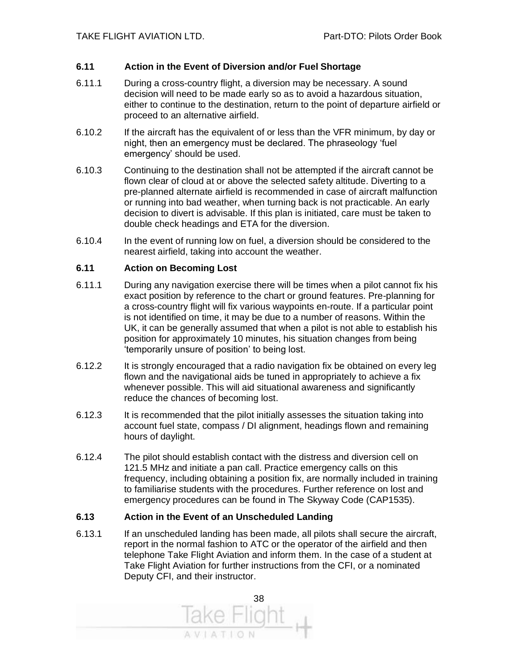#### **6.11 Action in the Event of Diversion and/or Fuel Shortage**

- 6.11.1 During a cross-country flight, a diversion may be necessary. A sound decision will need to be made early so as to avoid a hazardous situation, either to continue to the destination, return to the point of departure airfield or proceed to an alternative airfield.
- 6.10.2 If the aircraft has the equivalent of or less than the VFR minimum, by day or night, then an emergency must be declared. The phraseology 'fuel emergency' should be used.
- 6.10.3 Continuing to the destination shall not be attempted if the aircraft cannot be flown clear of cloud at or above the selected safety altitude. Diverting to a pre-planned alternate airfield is recommended in case of aircraft malfunction or running into bad weather, when turning back is not practicable. An early decision to divert is advisable. If this plan is initiated, care must be taken to double check headings and ETA for the diversion.
- 6.10.4 In the event of running low on fuel, a diversion should be considered to the nearest airfield, taking into account the weather.

#### **6.11 Action on Becoming Lost**

- 6.11.1 During any navigation exercise there will be times when a pilot cannot fix his exact position by reference to the chart or ground features. Pre-planning for a cross-country flight will fix various waypoints en-route. If a particular point is not identified on time, it may be due to a number of reasons. Within the UK, it can be generally assumed that when a pilot is not able to establish his position for approximately 10 minutes, his situation changes from being 'temporarily unsure of position' to being lost.
- 6.12.2 It is strongly encouraged that a radio navigation fix be obtained on every leg flown and the navigational aids be tuned in appropriately to achieve a fix whenever possible. This will aid situational awareness and significantly reduce the chances of becoming lost.
- 6.12.3 It is recommended that the pilot initially assesses the situation taking into account fuel state, compass / DI alignment, headings flown and remaining hours of daylight.
- 6.12.4 The pilot should establish contact with the distress and diversion cell on 121.5 MHz and initiate a pan call. Practice emergency calls on this frequency, including obtaining a position fix, are normally included in training to familiarise students with the procedures. Further reference on lost and emergency procedures can be found in The Skyway Code (CAP1535).

#### **6.13 Action in the Event of an Unscheduled Landing**

6.13.1 If an unscheduled landing has been made, all pilots shall secure the aircraft, report in the normal fashion to ATC or the operator of the airfield and then telephone Take Flight Aviation and inform them. In the case of a student at Take Flight Aviation for further instructions from the CFI, or a nominated Deputy CFI, and their instructor.

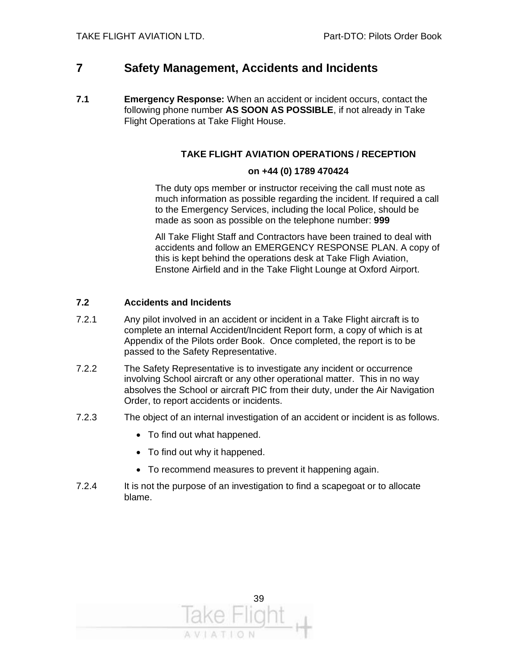#### **7 Safety Management, Accidents and Incidents**

**7.1 Emergency Response:** When an accident or incident occurs, contact the following phone number **AS SOON AS POSSIBLE**, if not already in Take Flight Operations at Take Flight House.

#### **TAKE FLIGHT AVIATION OPERATIONS / RECEPTION**

#### **on +44 (0) 1789 470424**

The duty ops member or instructor receiving the call must note as much information as possible regarding the incident. If required a call to the Emergency Services, including the local Police, should be made as soon as possible on the telephone number: **999**

All Take Flight Staff and Contractors have been trained to deal with accidents and follow an EMERGENCY RESPONSE PLAN. A copy of this is kept behind the operations desk at Take Fligh Aviation, Enstone Airfield and in the Take Flight Lounge at Oxford Airport.

#### **7.2 Accidents and Incidents**

- 7.2.1 Any pilot involved in an accident or incident in a Take Flight aircraft is to complete an internal Accident/Incident Report form, a copy of which is at Appendix of the Pilots order Book. Once completed, the report is to be passed to the Safety Representative.
- 7.2.2 The Safety Representative is to investigate any incident or occurrence involving School aircraft or any other operational matter. This in no way absolves the School or aircraft PIC from their duty, under the Air Navigation Order, to report accidents or incidents.
- 7.2.3 The object of an internal investigation of an accident or incident is as follows.
	- To find out what happened.
	- To find out why it happened.
	- To recommend measures to prevent it happening again.
- 7.2.4 It is not the purpose of an investigation to find a scapegoat or to allocate blame.

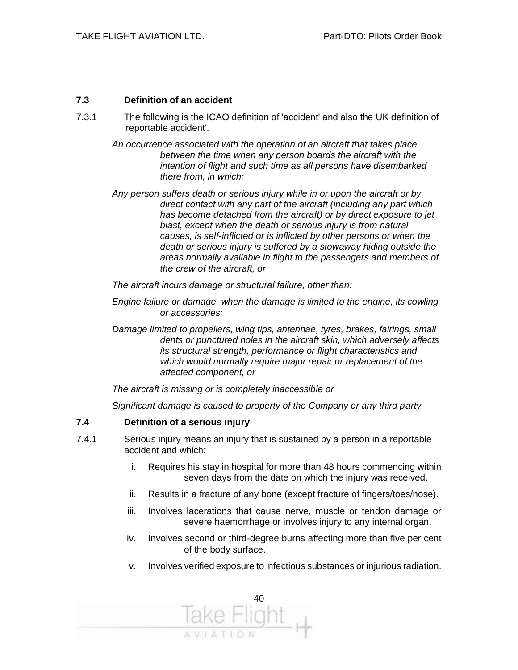#### **7.3 Definition of an accident**

- 7.3.1 The following is the ICAO definition of 'accident' and also the UK definition of 'reportable accident'.
	- *An occurrence associated with the operation of an aircraft that takes place between the time when any person boards the aircraft with the intention of flight and such time as all persons have disembarked there from, in which:*
	- *Any person suffers death or serious injury while in or upon the aircraft or by direct contact with any part of the aircraft (including any part which has become detached from the aircraft) or by direct exposure to jet blast, except when the death or serious injury is from natural causes, is self-inflicted or is inflicted by other persons or when the death or serious injury is suffered by a stowaway hiding outside the areas normally available in flight to the passengers and members of the crew of the aircraft, or*

*The aircraft incurs damage or structural failure, other than:*

- *Engine failure or damage, when the damage is limited to the engine, its cowling or accessories;*
- *Damage limited to propellers, wing tips, antennae, tyres, brakes, fairings, small dents or punctured holes in the aircraft skin, which adversely affects its structural strength, performance or flight characteristics and which would normally require major repair or replacement of the affected component, or*

*The aircraft is missing or is completely inaccessible or*

*Significant damage is caused to property of the Company or any third party.*

#### **7.4 Definition of a serious injury**

- 7.4.1 Serious injury means an injury that is sustained by a person in a reportable accident and which:
	- i. Requires his stay in hospital for more than 48 hours commencing within seven days from the date on which the injury was received.
	- ii. Results in a fracture of any bone (except fracture of fingers/toes/nose).
	- iii. Involves lacerations that cause nerve, muscle or tendon damage or severe haemorrhage or involves injury to any internal organ.
	- iv. Involves second or third-degree burns affecting more than five per cent of the body surface.
	- v. Involves verified exposure to infectious substances or injurious radiation.

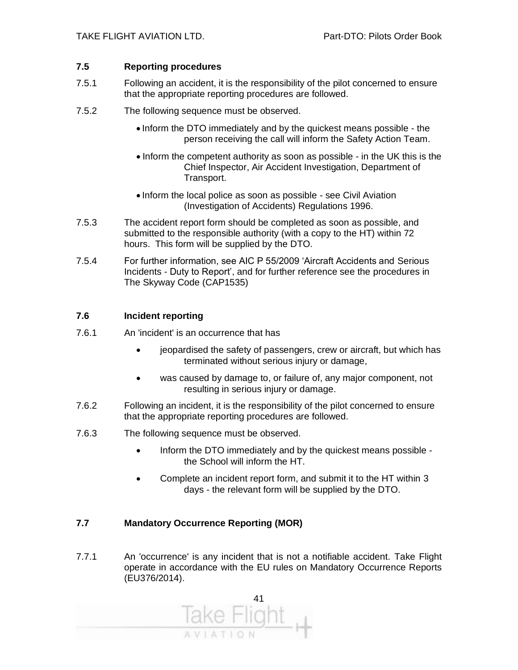#### **7.5 Reporting procedures**

- 7.5.1 Following an accident, it is the responsibility of the pilot concerned to ensure that the appropriate reporting procedures are followed.
- 7.5.2 The following sequence must be observed.
	- Inform the DTO immediately and by the quickest means possible the person receiving the call will inform the Safety Action Team.
	- Inform the competent authority as soon as possible in the UK this is the Chief Inspector, Air Accident Investigation, Department of Transport.
	- Inform the local police as soon as possible see Civil Aviation (Investigation of Accidents) Regulations 1996.
- 7.5.3 The accident report form should be completed as soon as possible, and submitted to the responsible authority (with a copy to the HT) within 72 hours. This form will be supplied by the DTO.
- 7.5.4 For further information, see AIC P 55/2009 'Aircraft Accidents and Serious Incidents - Duty to Report', and for further reference see the procedures in The Skyway Code (CAP1535)

#### **7.6 Incident reporting**

- 7.6.1 An 'incident' is an occurrence that has
	- jeopardised the safety of passengers, crew or aircraft, but which has terminated without serious injury or damage,
	- was caused by damage to, or failure of, any major component, not resulting in serious injury or damage.
- 7.6.2 Following an incident, it is the responsibility of the pilot concerned to ensure that the appropriate reporting procedures are followed.
- 7.6.3 The following sequence must be observed.
	- Inform the DTO immediately and by the quickest means possible the School will inform the HT.
	- Complete an incident report form, and submit it to the HT within 3 days - the relevant form will be supplied by the DTO.

#### **7.7 Mandatory Occurrence Reporting (MOR)**

7.7.1 An 'occurrence' is any incident that is not a notifiable accident. Take Flight operate in accordance with the EU rules on Mandatory Occurrence Reports (EU376/2014).

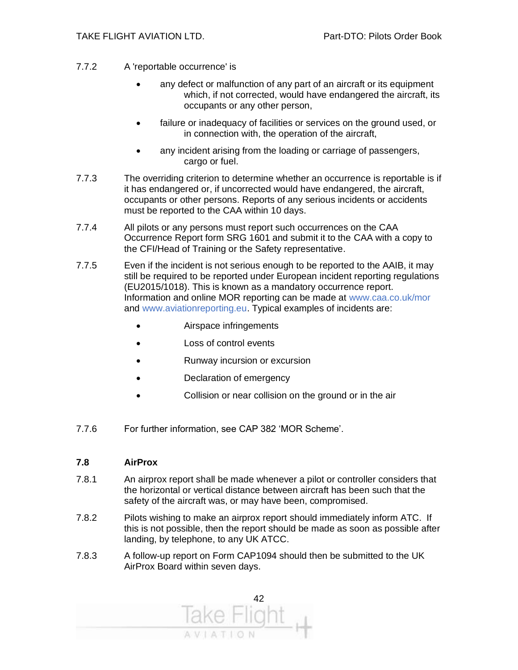- 7.7.2 A 'reportable occurrence' is
	- any defect or malfunction of any part of an aircraft or its equipment which, if not corrected, would have endangered the aircraft, its occupants or any other person,
	- failure or inadequacy of facilities or services on the ground used, or in connection with, the operation of the aircraft,
	- any incident arising from the loading or carriage of passengers, cargo or fuel.
- 7.7.3 The overriding criterion to determine whether an occurrence is reportable is if it has endangered or, if uncorrected would have endangered, the aircraft, occupants or other persons. Reports of any serious incidents or accidents must be reported to the CAA within 10 days.
- 7.7.4 All pilots or any persons must report such occurrences on the CAA Occurrence Report form SRG 1601 and submit it to the CAA with a copy to the CFI/Head of Training or the Safety representative.
- 7.7.5 Even if the incident is not serious enough to be reported to the AAIB, it may still be required to be reported under European incident reporting regulations (EU2015/1018). This is known as a mandatory occurrence report. Information and online MOR reporting can be made at www.caa.co.uk/mor and www.aviationreporting.eu. Typical examples of incidents are:
	- Airspace infringements
	- Loss of control events
	- Runway incursion or excursion
	- Declaration of emergency
	- Collision or near collision on the ground or in the air
- 7.7.6 For further information, see CAP 382 'MOR Scheme'.

#### **7.8 AirProx**

- 7.8.1 An airprox report shall be made whenever a pilot or controller considers that the horizontal or vertical distance between aircraft has been such that the safety of the aircraft was, or may have been, compromised.
- 7.8.2 Pilots wishing to make an airprox report should immediately inform ATC. If this is not possible, then the report should be made as soon as possible after landing, by telephone, to any UK ATCC.
- 7.8.3 A follow-up report on Form CAP1094 should then be submitted to the UK AirProx Board within seven days.

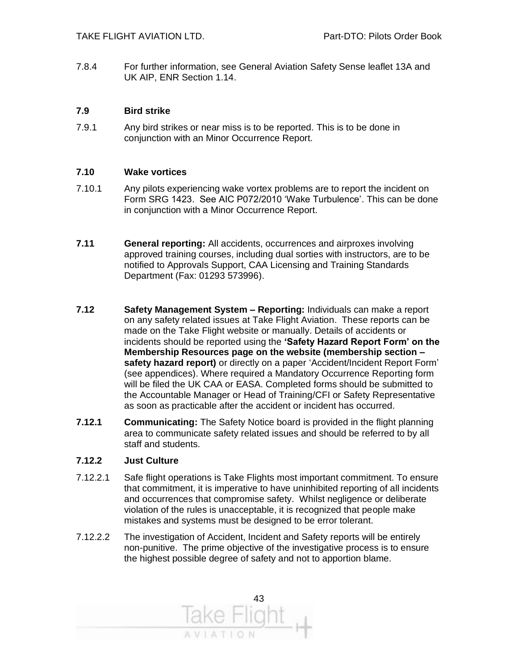7.8.4 For further information, see General Aviation Safety Sense leaflet 13A and UK AIP, ENR Section 1.14.

#### **7.9 Bird strike**

7.9.1 Any bird strikes or near miss is to be reported. This is to be done in conjunction with an Minor Occurrence Report.

#### **7.10 Wake vortices**

- 7.10.1 Any pilots experiencing wake vortex problems are to report the incident on Form SRG 1423. See AIC P072/2010 'Wake Turbulence'. This can be done in conjunction with a Minor Occurrence Report.
- **7.11 General reporting:** All accidents, occurrences and airproxes involving approved training courses, including dual sorties with instructors, are to be notified to Approvals Support, CAA Licensing and Training Standards Department (Fax: 01293 573996).
- **7.12 Safety Management System – Reporting:** Individuals can make a report on any safety related issues at Take Flight Aviation. These reports can be made on the Take Flight website or manually. Details of accidents or incidents should be reported using the **'Safety Hazard Report Form' on the Membership Resources page on the website (membership section – safety hazard report)** or directly on a paper 'Accident/Incident Report Form' (see appendices). Where required a Mandatory Occurrence Reporting form will be filed the UK CAA or EASA. Completed forms should be submitted to the Accountable Manager or Head of Training/CFI or Safety Representative as soon as practicable after the accident or incident has occurred.
- **7.12.1 Communicating:** The Safety Notice board is provided in the flight planning area to communicate safety related issues and should be referred to by all staff and students.

#### **7.12.2 Just Culture**

- 7.12.2.1 Safe flight operations is Take Flights most important commitment. To ensure that commitment, it is imperative to have uninhibited reporting of all incidents and occurrences that compromise safety. Whilst negligence or deliberate violation of the rules is unacceptable, it is recognized that people make mistakes and systems must be designed to be error tolerant.
- 7.12.2.2 The investigation of Accident, Incident and Safety reports will be entirely non-punitive. The prime objective of the investigative process is to ensure the highest possible degree of safety and not to apportion blame.

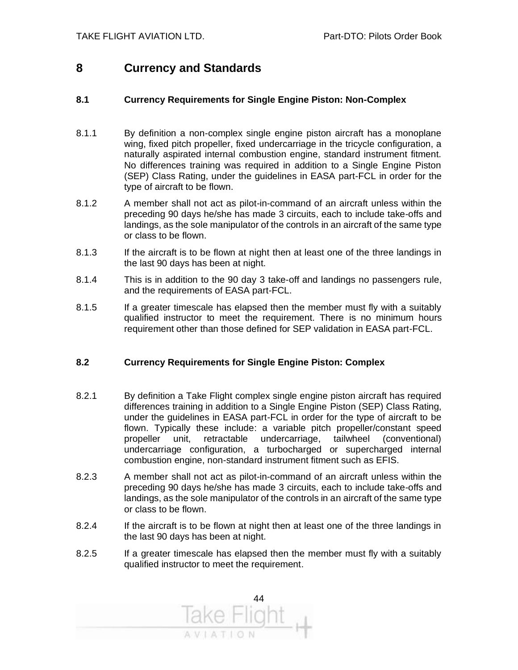#### **8 Currency and Standards**

#### **8.1 Currency Requirements for Single Engine Piston: Non-Complex**

- 8.1.1 By definition a non-complex single engine piston aircraft has a monoplane wing, fixed pitch propeller, fixed undercarriage in the tricycle configuration, a naturally aspirated internal combustion engine, standard instrument fitment. No differences training was required in addition to a Single Engine Piston (SEP) Class Rating, under the guidelines in EASA part-FCL in order for the type of aircraft to be flown.
- 8.1.2 A member shall not act as pilot-in-command of an aircraft unless within the preceding 90 days he/she has made 3 circuits, each to include take-offs and landings, as the sole manipulator of the controls in an aircraft of the same type or class to be flown.
- 8.1.3 If the aircraft is to be flown at night then at least one of the three landings in the last 90 days has been at night.
- 8.1.4 This is in addition to the 90 day 3 take-off and landings no passengers rule, and the requirements of EASA part-FCL.
- 8.1.5 If a greater timescale has elapsed then the member must fly with a suitably qualified instructor to meet the requirement. There is no minimum hours requirement other than those defined for SEP validation in EASA part-FCL.

#### **8.2 Currency Requirements for Single Engine Piston: Complex**

- 8.2.1 By definition a Take Flight complex single engine piston aircraft has required differences training in addition to a Single Engine Piston (SEP) Class Rating, under the guidelines in EASA part-FCL in order for the type of aircraft to be flown. Typically these include: a variable pitch propeller/constant speed propeller unit, retractable undercarriage, tailwheel (conventional) undercarriage configuration, a turbocharged or supercharged internal combustion engine, non-standard instrument fitment such as EFIS.
- 8.2.3 A member shall not act as pilot-in-command of an aircraft unless within the preceding 90 days he/she has made 3 circuits, each to include take-offs and landings, as the sole manipulator of the controls in an aircraft of the same type or class to be flown.
- 8.2.4 If the aircraft is to be flown at night then at least one of the three landings in the last 90 days has been at night.
- 8.2.5 If a greater timescale has elapsed then the member must fly with a suitably qualified instructor to meet the requirement.

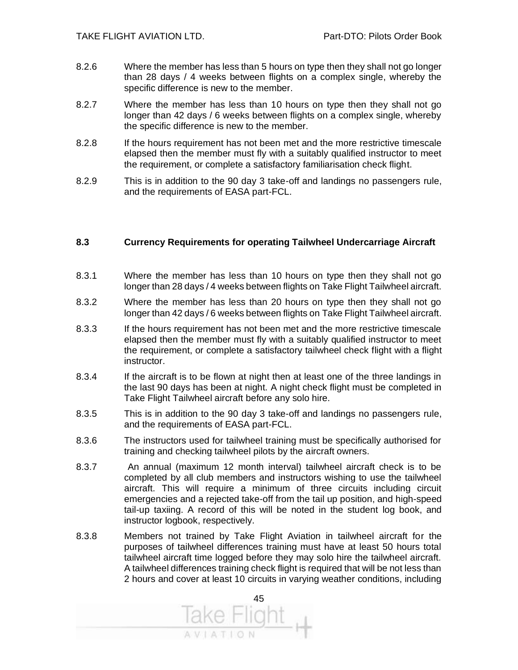- 8.2.6 Where the member has less than 5 hours on type then they shall not go longer than 28 days / 4 weeks between flights on a complex single, whereby the specific difference is new to the member.
- 8.2.7 Where the member has less than 10 hours on type then they shall not go longer than 42 days / 6 weeks between flights on a complex single, whereby the specific difference is new to the member.
- 8.2.8 If the hours requirement has not been met and the more restrictive timescale elapsed then the member must fly with a suitably qualified instructor to meet the requirement, or complete a satisfactory familiarisation check flight.
- 8.2.9 This is in addition to the 90 day 3 take-off and landings no passengers rule, and the requirements of EASA part-FCL.

#### **8.3 Currency Requirements for operating Tailwheel Undercarriage Aircraft**

- 8.3.1 Where the member has less than 10 hours on type then they shall not go longer than 28 days / 4 weeks between flights on Take Flight Tailwheel aircraft.
- 8.3.2 Where the member has less than 20 hours on type then they shall not go longer than 42 days / 6 weeks between flights on Take Flight Tailwheel aircraft.
- 8.3.3 If the hours requirement has not been met and the more restrictive timescale elapsed then the member must fly with a suitably qualified instructor to meet the requirement, or complete a satisfactory tailwheel check flight with a flight instructor.
- 8.3.4 If the aircraft is to be flown at night then at least one of the three landings in the last 90 days has been at night. A night check flight must be completed in Take Flight Tailwheel aircraft before any solo hire.
- 8.3.5 This is in addition to the 90 day 3 take-off and landings no passengers rule, and the requirements of EASA part-FCL.
- 8.3.6 The instructors used for tailwheel training must be specifically authorised for training and checking tailwheel pilots by the aircraft owners.
- 8.3.7 An annual (maximum 12 month interval) tailwheel aircraft check is to be completed by all club members and instructors wishing to use the tailwheel aircraft. This will require a minimum of three circuits including circuit emergencies and a rejected take-off from the tail up position, and high-speed tail-up taxiing. A record of this will be noted in the student log book, and instructor logbook, respectively.
- 8.3.8 Members not trained by Take Flight Aviation in tailwheel aircraft for the purposes of tailwheel differences training must have at least 50 hours total tailwheel aircraft time logged before they may solo hire the tailwheel aircraft. A tailwheel differences training check flight is required that will be not less than 2 hours and cover at least 10 circuits in varying weather conditions, including

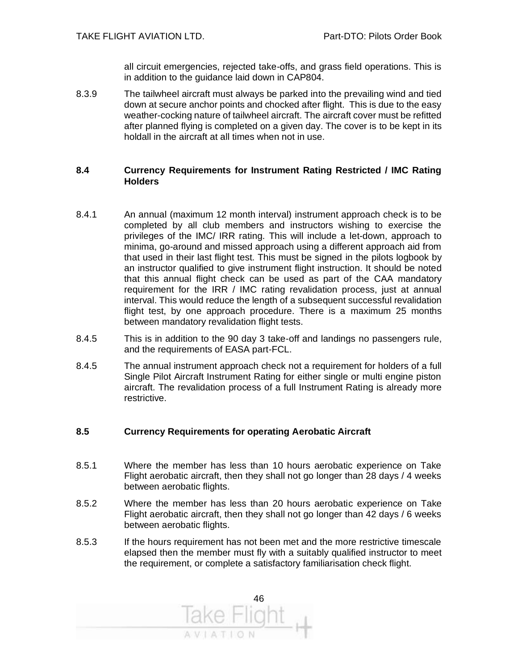all circuit emergencies, rejected take-offs, and grass field operations. This is in addition to the guidance laid down in CAP804.

8.3.9 The tailwheel aircraft must always be parked into the prevailing wind and tied down at secure anchor points and chocked after flight. This is due to the easy weather-cocking nature of tailwheel aircraft. The aircraft cover must be refitted after planned flying is completed on a given day. The cover is to be kept in its holdall in the aircraft at all times when not in use.

#### **8.4 Currency Requirements for Instrument Rating Restricted / IMC Rating Holders**

- 8.4.1 An annual (maximum 12 month interval) instrument approach check is to be completed by all club members and instructors wishing to exercise the privileges of the IMC/ IRR rating. This will include a let-down, approach to minima, go-around and missed approach using a different approach aid from that used in their last flight test. This must be signed in the pilots logbook by an instructor qualified to give instrument flight instruction. It should be noted that this annual flight check can be used as part of the CAA mandatory requirement for the IRR / IMC rating revalidation process, just at annual interval. This would reduce the length of a subsequent successful revalidation flight test, by one approach procedure. There is a maximum 25 months between mandatory revalidation flight tests.
- 8.4.5 This is in addition to the 90 day 3 take-off and landings no passengers rule, and the requirements of EASA part-FCL.
- 8.4.5 The annual instrument approach check not a requirement for holders of a full Single Pilot Aircraft Instrument Rating for either single or multi engine piston aircraft. The revalidation process of a full Instrument Rating is already more restrictive.

#### **8.5 Currency Requirements for operating Aerobatic Aircraft**

- 8.5.1 Where the member has less than 10 hours aerobatic experience on Take Flight aerobatic aircraft, then they shall not go longer than 28 days / 4 weeks between aerobatic flights.
- 8.5.2 Where the member has less than 20 hours aerobatic experience on Take Flight aerobatic aircraft, then they shall not go longer than 42 days / 6 weeks between aerobatic flights.
- 8.5.3 If the hours requirement has not been met and the more restrictive timescale elapsed then the member must fly with a suitably qualified instructor to meet the requirement, or complete a satisfactory familiarisation check flight.

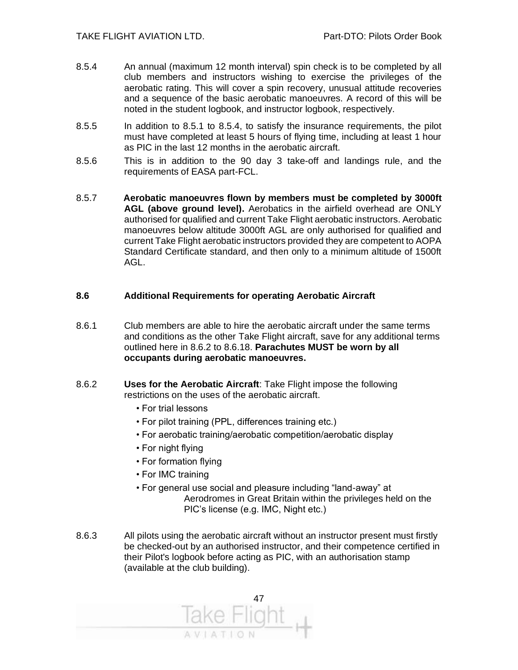- 8.5.4 An annual (maximum 12 month interval) spin check is to be completed by all club members and instructors wishing to exercise the privileges of the aerobatic rating. This will cover a spin recovery, unusual attitude recoveries and a sequence of the basic aerobatic manoeuvres. A record of this will be noted in the student logbook, and instructor logbook, respectively.
- 8.5.5 In addition to 8.5.1 to 8.5.4, to satisfy the insurance requirements, the pilot must have completed at least 5 hours of flying time, including at least 1 hour as PIC in the last 12 months in the aerobatic aircraft.
- 8.5.6 This is in addition to the 90 day 3 take-off and landings rule, and the requirements of EASA part-FCL.
- 8.5.7 **Aerobatic manoeuvres flown by members must be completed by 3000ft AGL (above ground level).** Aerobatics in the airfield overhead are ONLY authorised for qualified and current Take Flight aerobatic instructors. Aerobatic manoeuvres below altitude 3000ft AGL are only authorised for qualified and current Take Flight aerobatic instructors provided they are competent to AOPA Standard Certificate standard, and then only to a minimum altitude of 1500ft AGL.

#### **8.6 Additional Requirements for operating Aerobatic Aircraft**

- 8.6.1 Club members are able to hire the aerobatic aircraft under the same terms and conditions as the other Take Flight aircraft, save for any additional terms outlined here in 8.6.2 to 8.6.18. **Parachutes MUST be worn by all occupants during aerobatic manoeuvres.**
- 8.6.2 **Uses for the Aerobatic Aircraft**: Take Flight impose the following restrictions on the uses of the aerobatic aircraft.
	- For trial lessons
	- For pilot training (PPL, differences training etc.)
	- For aerobatic training/aerobatic competition/aerobatic display
	- For night flying
	- For formation flying
	- For IMC training
	- For general use social and pleasure including "land-away" at Aerodromes in Great Britain within the privileges held on the PIC's license (e.g. IMC, Night etc.)
- 8.6.3 All pilots using the aerobatic aircraft without an instructor present must firstly be checked-out by an authorised instructor, and their competence certified in their Pilot's logbook before acting as PIC, with an authorisation stamp (available at the club building).

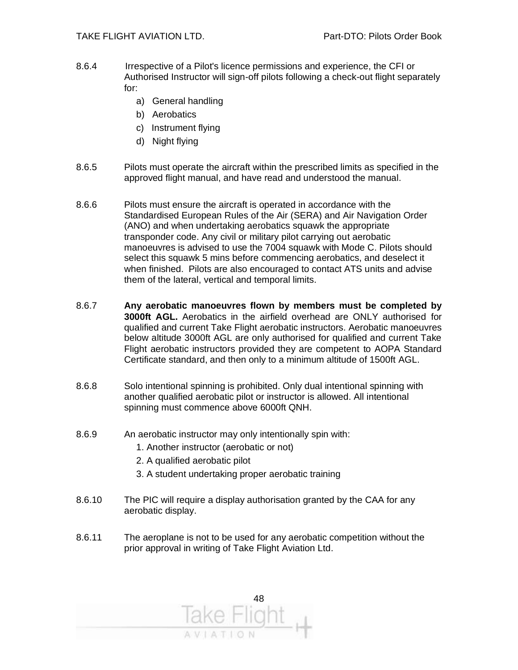- 8.6.4 Irrespective of a Pilot's licence permissions and experience, the CFI or Authorised Instructor will sign-off pilots following a check-out flight separately for:
	- a) General handling
	- b) Aerobatics
	- c) Instrument flying
	- d) Night flying
- 8.6.5 Pilots must operate the aircraft within the prescribed limits as specified in the approved flight manual, and have read and understood the manual.
- 8.6.6 Pilots must ensure the aircraft is operated in accordance with the Standardised European Rules of the Air (SERA) and Air Navigation Order (ANO) and when undertaking aerobatics squawk the appropriate transponder code. Any civil or military pilot carrying out aerobatic manoeuvres is advised to use the 7004 squawk with Mode C. Pilots should select this squawk 5 mins before commencing aerobatics, and deselect it when finished. Pilots are also encouraged to contact ATS units and advise them of the lateral, vertical and temporal limits.
- 8.6.7 **Any aerobatic manoeuvres flown by members must be completed by 3000ft AGL.** Aerobatics in the airfield overhead are ONLY authorised for qualified and current Take Flight aerobatic instructors. Aerobatic manoeuvres below altitude 3000ft AGL are only authorised for qualified and current Take Flight aerobatic instructors provided they are competent to AOPA Standard Certificate standard, and then only to a minimum altitude of 1500ft AGL.
- 8.6.8 Solo intentional spinning is prohibited. Only dual intentional spinning with another qualified aerobatic pilot or instructor is allowed. All intentional spinning must commence above 6000ft QNH.
- 8.6.9 An aerobatic instructor may only intentionally spin with:
	- 1. Another instructor (aerobatic or not)
	- 2. A qualified aerobatic pilot
	- 3. A student undertaking proper aerobatic training
- 8.6.10 The PIC will require a display authorisation granted by the CAA for any aerobatic display.
- 8.6.11 The aeroplane is not to be used for any aerobatic competition without the prior approval in writing of Take Flight Aviation Ltd.

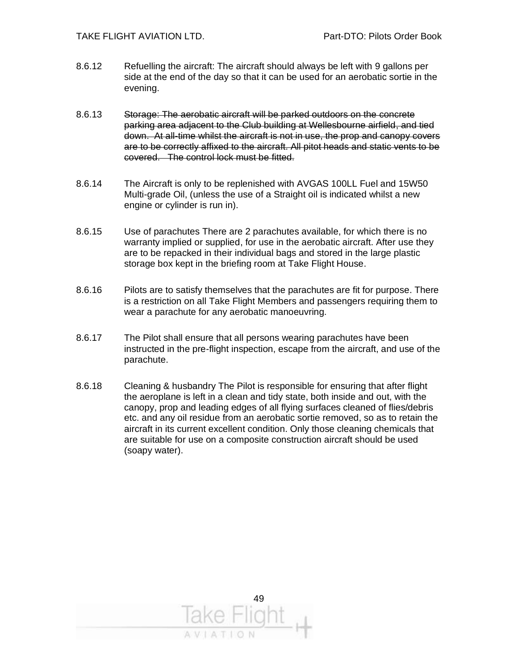- 8.6.12 Refuelling the aircraft: The aircraft should always be left with 9 gallons per side at the end of the day so that it can be used for an aerobatic sortie in the evening.
- 8.6.13 Storage: The aerobatic aircraft will be parked outdoors on the concrete parking area adjacent to the Club building at Wellesbourne airfield, and tied down. At all-time whilst the aircraft is not in use, the prop and canopy covers are to be correctly affixed to the aircraft. All pitot heads and static vents to be covered. The control lock must be fitted.
- 8.6.14 The Aircraft is only to be replenished with AVGAS 100LL Fuel and 15W50 Multi-grade Oil, (unless the use of a Straight oil is indicated whilst a new engine or cylinder is run in).
- 8.6.15 Use of parachutes There are 2 parachutes available, for which there is no warranty implied or supplied, for use in the aerobatic aircraft. After use they are to be repacked in their individual bags and stored in the large plastic storage box kept in the briefing room at Take Flight House.
- 8.6.16 Pilots are to satisfy themselves that the parachutes are fit for purpose. There is a restriction on all Take Flight Members and passengers requiring them to wear a parachute for any aerobatic manoeuvring.
- 8.6.17 The Pilot shall ensure that all persons wearing parachutes have been instructed in the pre-flight inspection, escape from the aircraft, and use of the parachute.
- 8.6.18 Cleaning & husbandry The Pilot is responsible for ensuring that after flight the aeroplane is left in a clean and tidy state, both inside and out, with the canopy, prop and leading edges of all flying surfaces cleaned of flies/debris etc. and any oil residue from an aerobatic sortie removed, so as to retain the aircraft in its current excellent condition. Only those cleaning chemicals that are suitable for use on a composite construction aircraft should be used (soapy water).

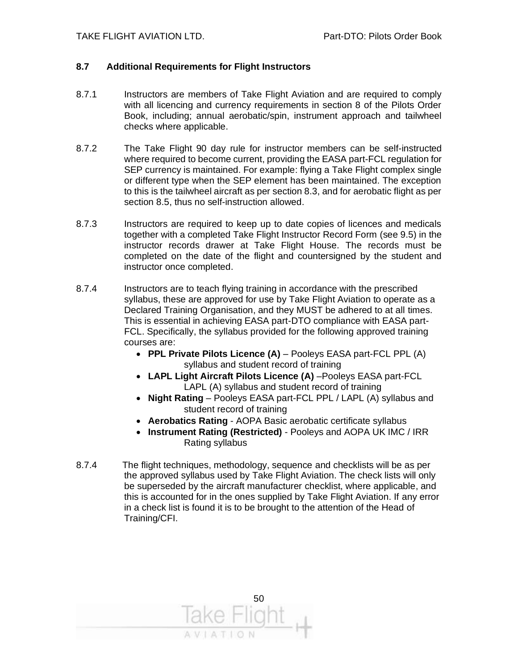#### **8.7 Additional Requirements for Flight Instructors**

- 8.7.1 Instructors are members of Take Flight Aviation and are required to comply with all licencing and currency requirements in section 8 of the Pilots Order Book, including; annual aerobatic/spin, instrument approach and tailwheel checks where applicable.
- 8.7.2 The Take Flight 90 day rule for instructor members can be self-instructed where required to become current, providing the EASA part-FCL regulation for SEP currency is maintained. For example: flying a Take Flight complex single or different type when the SEP element has been maintained. The exception to this is the tailwheel aircraft as per section 8.3, and for aerobatic flight as per section 8.5, thus no self-instruction allowed.
- 8.7.3 Instructors are required to keep up to date copies of licences and medicals together with a completed Take Flight Instructor Record Form (see 9.5) in the instructor records drawer at Take Flight House. The records must be completed on the date of the flight and countersigned by the student and instructor once completed.
- 8.7.4 Instructors are to teach flying training in accordance with the prescribed syllabus, these are approved for use by Take Flight Aviation to operate as a Declared Training Organisation, and they MUST be adhered to at all times. This is essential in achieving EASA part-DTO compliance with EASA part-FCL. Specifically, the syllabus provided for the following approved training courses are:
	- **PPL Private Pilots Licence (A)** Pooleys EASA part-FCL PPL (A) syllabus and student record of training
	- **LAPL Light Aircraft Pilots Licence (A)** –Pooleys EASA part-FCL LAPL (A) syllabus and student record of training
	- **Night Rating** Pooleys EASA part-FCL PPL / LAPL (A) syllabus and student record of training
	- **Aerobatics Rating** AOPA Basic aerobatic certificate syllabus
	- **Instrument Rating (Restricted)** Pooleys and AOPA UK IMC / IRR Rating syllabus
- 8.7.4 The flight techniques, methodology, sequence and checklists will be as per the approved syllabus used by Take Flight Aviation. The check lists will only be superseded by the aircraft manufacturer checklist, where applicable, and this is accounted for in the ones supplied by Take Flight Aviation. If any error in a check list is found it is to be brought to the attention of the Head of Training/CFI.

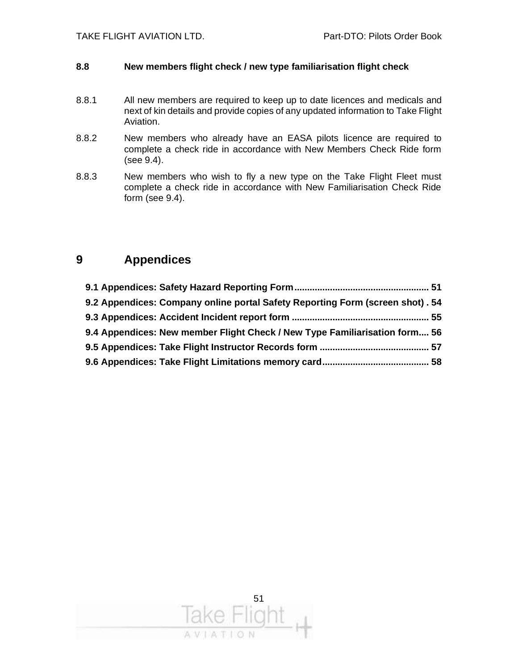#### **8.8 New members flight check / new type familiarisation flight check**

- 8.8.1 All new members are required to keep up to date licences and medicals and next of kin details and provide copies of any updated information to Take Flight Aviation.
- 8.8.2 New members who already have an EASA pilots licence are required to complete a check ride in accordance with New Members Check Ride form (see 9.4).
- 8.8.3 New members who wish to fly a new type on the Take Flight Fleet must complete a check ride in accordance with New Familiarisation Check Ride form (see 9.4).

#### **9 Appendices**

| 9.2 Appendices: Company online portal Safety Reporting Form (screen shot). 54 |  |
|-------------------------------------------------------------------------------|--|
|                                                                               |  |
| 9.4 Appendices: New member Flight Check / New Type Familiarisation form 56    |  |
|                                                                               |  |
|                                                                               |  |

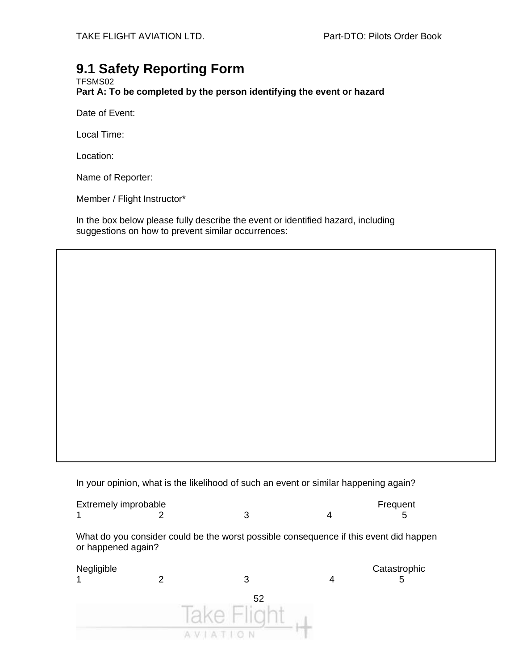### **9.1 Safety Reporting Form**

TFSMS02 **Part A: To be completed by the person identifying the event or hazard**

Date of Event:

Local Time:

Location:

Name of Reporter:

Member / Flight Instructor\*

In the box below please fully describe the event or identified hazard, including suggestions on how to prevent similar occurrences:

In your opinion, what is the likelihood of such an event or similar happening again?

| Extremely improbable |  | Frequent |
|----------------------|--|----------|
|                      |  |          |

What do you consider could be the worst possible consequence if this event did happen or happened again?

| Negligible<br>1 | 3  | Catastrophic<br>5 |
|-----------------|----|-------------------|
|                 | 52 |                   |
|                 |    |                   |
|                 | v  |                   |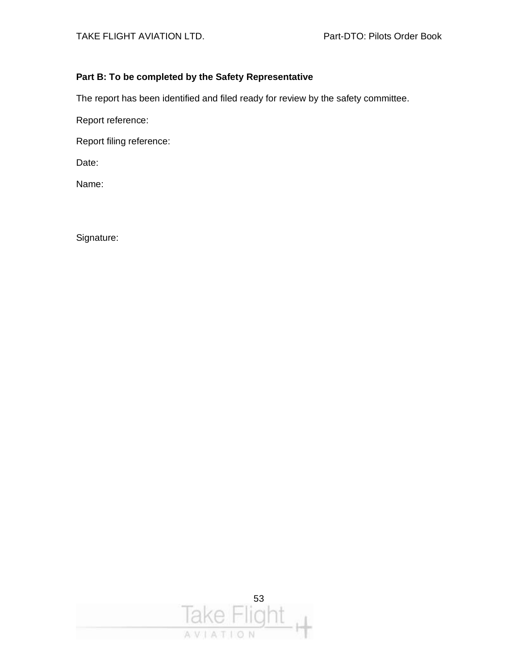#### **Part B: To be completed by the Safety Representative**

The report has been identified and filed ready for review by the safety committee.

Report reference:

Report filing reference:

Date:

Name:

Signature:

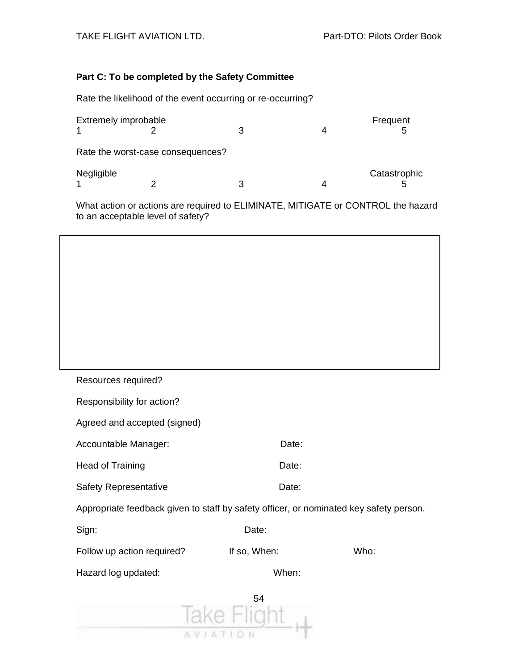#### **Part C: To be completed by the Safety Committee**

Rate the likelihood of the event occurring or re-occurring?

| Extremely improbable |                                   | 4 | Frequent<br>5 |
|----------------------|-----------------------------------|---|---------------|
|                      | Rate the worst-case consequences? |   |               |
| Negligible           |                                   |   | Catastrophic  |

What action or actions are required to ELIMINATE, MITIGATE or CONTROL the hazard to an acceptable level of safety?

Resources required?

| Responsibility for action?                                                             |              |      |
|----------------------------------------------------------------------------------------|--------------|------|
| Agreed and accepted (signed)                                                           |              |      |
| Accountable Manager:                                                                   | Date:        |      |
| Head of Training                                                                       | Date:        |      |
| <b>Safety Representative</b>                                                           | Date:        |      |
| Appropriate feedback given to staff by safety officer, or nominated key safety person. |              |      |
| Sign:                                                                                  | Date:        |      |
| Follow up action required?                                                             | If so, When: | Who: |
| Hazard log updated:                                                                    | When:        |      |
|                                                                                        | 54           |      |
|                                                                                        |              |      |

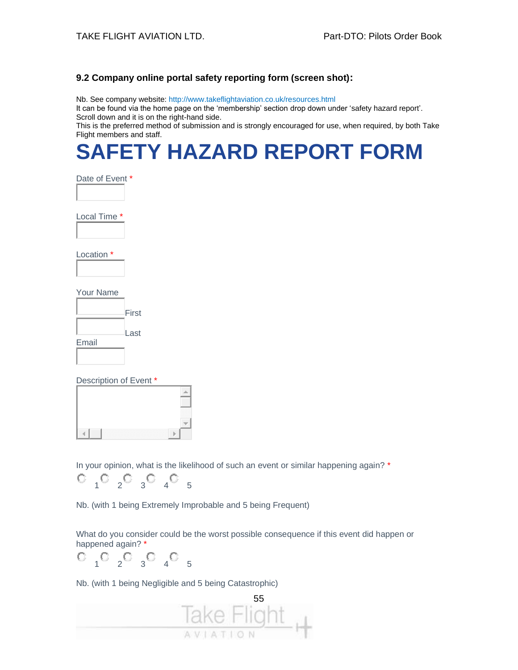#### **9.2 Company online portal safety reporting form (screen shot):**

Nb. See company website: http://www.takeflightaviation.co.uk/resources.html It can be found via the home page on the 'membership' section drop down under 'safety hazard report'. Scroll down and it is on the right-hand side.

This is the preferred method of submission and is strongly encouraged for use, when required, by both Take Flight members and staff.

## **SAFETY HAZARD REPORT FORM**

|  | Date of Event |  |
|--|---------------|--|
|  |               |  |

Local Time \*

Location \*

Your Name

|       | First |
|-------|-------|
|       | Last  |
| Email |       |

Description of Event \*

|                                                        | . |
|--------------------------------------------------------|---|
| . .<br>w<br>v<br>v<br>w<br>w<br>w<br>10000000000000000 |   |

In your opinion, what is the likelihood of such an event or similar happening again? \*

$$
\begin{smallmatrix}0&&&0&\\&1&0&2&3&4&5\end{smallmatrix}
$$

Nb. (with 1 being Extremely Improbable and 5 being Frequent)

What do you consider could be the worst possible consequence if this event did happen or happened again? \*

 $O_1 O_2 O_3 O_4 O_5$ 

Nb. (with 1 being Negligible and 5 being Catastrophic)

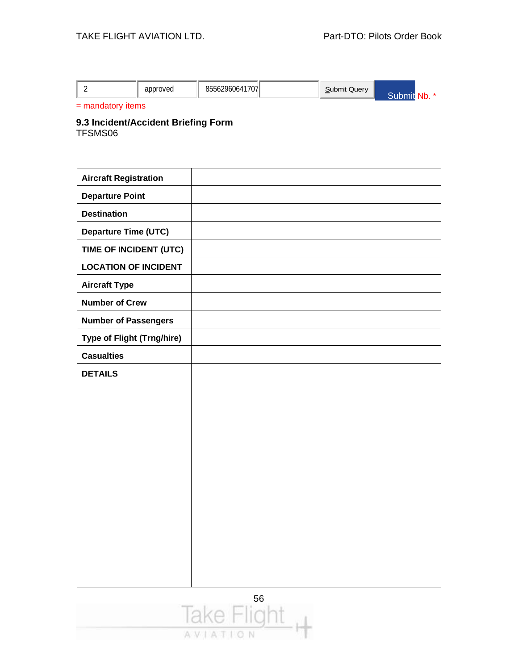|  |  |  | approved | $\cdots$<br>OET<br><sup>--67960641</sup><br>7071<br>രാാറ∠. |  | Submit Query |  | NIJ. |
|--|--|--|----------|------------------------------------------------------------|--|--------------|--|------|
|--|--|--|----------|------------------------------------------------------------|--|--------------|--|------|

= mandatory items

#### **9.3 Incident/Accident Briefing Form**  TFSMS06

**Aircraft Registration Departure Point Destination Departure Time (UTC) TIME OF INCIDENT (UTC) LOCATION OF INCIDENT Aircraft Type Number of Crew Number of Passengers Type of Flight (Trng/hire) Casualties DETAILS**

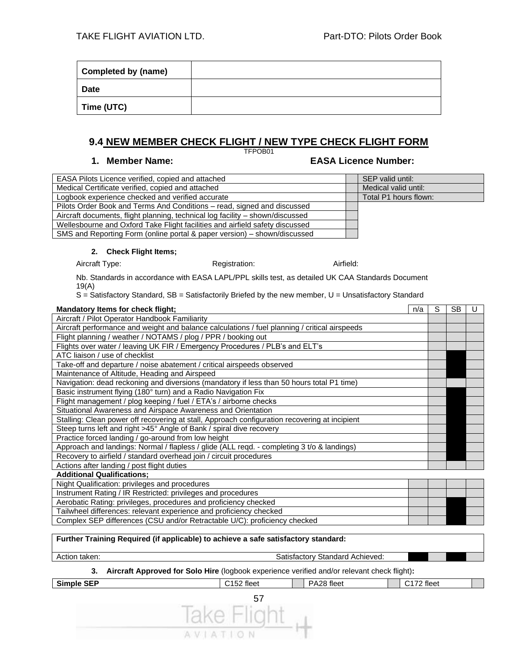| Completed by (name) |  |
|---------------------|--|
| <b>Date</b>         |  |
| Time (UTC)          |  |

#### **9.4 NEW MEMBER CHECK FLIGHT / NEW TYPE CHECK FLIGHT FORM**

TFPOB01

#### **1. Member Name: EASA Licence Number:**

| EASA Pilots Licence verified, copied and attached                             | SEP valid until:      |
|-------------------------------------------------------------------------------|-----------------------|
| Medical Certificate verified, copied and attached                             | Medical valid until:  |
| Logbook experience checked and verified accurate                              | Total P1 hours flown: |
| Pilots Order Book and Terms And Conditions - read, signed and discussed       |                       |
| Aircraft documents, flight planning, technical log facility – shown/discussed |                       |
| Wellesbourne and Oxford Take Flight facilities and airfield safety discussed  |                       |
| SMS and Reporting Form (online portal & paper version) – shown/discussed      |                       |

#### **2. Check Flight Items;**

Aircraft Type: **Aircraft Type:** Registration: **Airfield:** Airfield:

Nb. Standards in accordance with EASA LAPL/PPL skills test, as detailed UK CAA Standards Document 19(A)

S = Satisfactory Standard, SB = Satisfactorily Briefed by the new member, U = Unsatisfactory Standard

| Mandatory Items for check flight;                                                             | n/a | S | <b>SB</b> |  |
|-----------------------------------------------------------------------------------------------|-----|---|-----------|--|
| Aircraft / Pilot Operator Handbook Familiarity                                                |     |   |           |  |
| Aircraft performance and weight and balance calculations / fuel planning / critical airspeeds |     |   |           |  |
| Flight planning / weather / NOTAMS / plog / PPR / booking out                                 |     |   |           |  |
| Flights over water / leaving UK FIR / Emergency Procedures / PLB's and ELT's                  |     |   |           |  |
| ATC liaison / use of checklist                                                                |     |   |           |  |
| Take-off and departure / noise abatement / critical airspeeds observed                        |     |   |           |  |
| Maintenance of Altitude, Heading and Airspeed                                                 |     |   |           |  |
| Navigation: dead reckoning and diversions (mandatory if less than 50 hours total P1 time)     |     |   |           |  |
| Basic instrument flying (180° turn) and a Radio Navigation Fix                                |     |   |           |  |
| Flight management / plog keeping / fuel / ETA's / airborne checks                             |     |   |           |  |
| Situational Awareness and Airspace Awareness and Orientation                                  |     |   |           |  |
| Stalling: Clean power off recovering at stall, Approach configuration recovering at incipient |     |   |           |  |
| Steep turns left and right >45° Angle of Bank / spiral dive recovery                          |     |   |           |  |
| Practice forced landing / go-around from low height                                           |     |   |           |  |
| Approach and landings: Normal / flapless / glide (ALL reqd. - completing 3 t/o & landings)    |     |   |           |  |
| Recovery to airfield / standard overhead join / circuit procedures                            |     |   |           |  |
| Actions after landing / post flight duties                                                    |     |   |           |  |
| <b>Additional Qualifications:</b>                                                             |     |   |           |  |
| Night Qualification: privileges and procedures                                                |     |   |           |  |
| Instrument Rating / IR Restricted: privileges and procedures                                  |     |   |           |  |
| Aerobatic Rating: privileges, procedures and proficiency checked                              |     |   |           |  |
| Tailwheel differences: relevant experience and proficiency checked                            |     |   |           |  |

Complex SEP differences (CSU and/or Retractable U/C): proficiency checked

#### 57 **Further Training Required (if applicable) to achieve a safe satisfactory standard:** Action taken: Satisfactory Standard Achieved: Satisfactory Standard Achieved: **3. Aircraft Approved for Solo Hire** (logbook experience verified and/or relevant check flight)**: Simple SEP C152 fleet PA28 fleet PA28 fleet PA28 fleet PA28 fleet PA28 fleet**

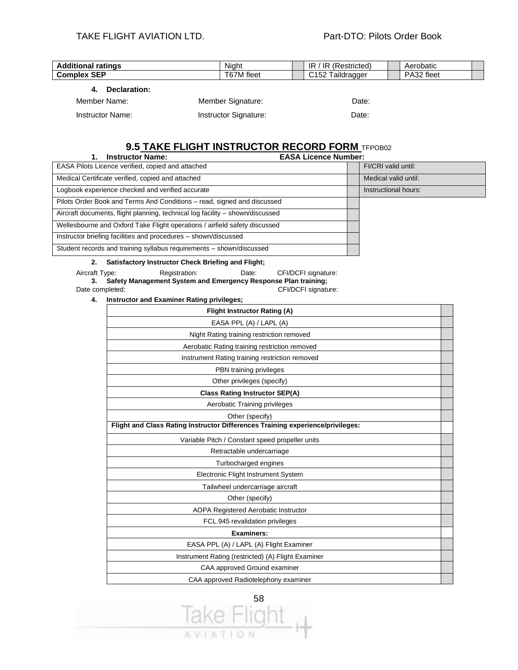| <b>Additional ratings</b> | Night             | IR / IR (Restricted) | Aerobatic  |
|---------------------------|-------------------|----------------------|------------|
| <b>Complex SEP</b>        | T67M fleet        | C152 Taildragger     | PA32 fleet |
| Declaration:              |                   |                      |            |
| Member Name:              | Member Signature: | Date:                |            |

| IVICIIINCI INQIIIC. | ivicinuci olgilaturc. | υαισ. |
|---------------------|-----------------------|-------|
| Instructor Name:    | Instructor Signature: | Date: |

#### **9.5 TAKE FLIGHT INSTRUCTOR RECORD FORM** TFPOB02

| EASA Pilots Licence verified, copied and attached<br>FI/CRI valid until:      |  |
|-------------------------------------------------------------------------------|--|
|                                                                               |  |
| Medical Certificate verified, copied and attached<br>Medical valid until:     |  |
| Logbook experience checked and verified accurate<br>Instructional hours:      |  |
| Pilots Order Book and Terms And Conditions – read, signed and discussed       |  |
| Aircraft documents, flight planning, technical log facility – shown/discussed |  |
| Wellesbourne and Oxford Take Flight operations / airfield safety discussed    |  |
| Instructor briefing facilities and procedures - shown/discussed               |  |
| Student records and training syllabus requirements – shown/discussed          |  |

#### **2. Satisfactory Instructor Check Briefing and Flight;**

Aircraft Type: Registration: Date: CFI/DCFI signature: **3. Safety Management System and Emergency Response Plan training;** Date completed: CFI/DCFI signature:

**4. Instructor and Examiner Rating privileges;**

| <b>Flight Instructor Rating (A)</b>                                            |  |
|--------------------------------------------------------------------------------|--|
| EASA PPL (A) / LAPL (A)                                                        |  |
| Night Rating training restriction removed                                      |  |
| Aerobatic Rating training restriction removed                                  |  |
| Instrument Rating training restriction removed                                 |  |
| PBN training privileges                                                        |  |
| Other privileges (specify)                                                     |  |
| <b>Class Rating Instructor SEP(A)</b>                                          |  |
| Aerobatic Training privileges                                                  |  |
| Other (specify)                                                                |  |
| Flight and Class Rating Instructor Differences Training experience/privileges: |  |
| Variable Pitch / Constant speed propeller units                                |  |
| Retractable undercarriage                                                      |  |
| Turbocharged engines                                                           |  |
| Electronic Flight Instrument System                                            |  |
| Tailwheel undercarriage aircraft                                               |  |
| Other (specify)                                                                |  |
| AOPA Registered Aerobatic Instructor                                           |  |
| FCL.945 revalidation privileges                                                |  |
| <b>Examiners:</b>                                                              |  |
| EASA PPL (A) / LAPL (A) Flight Examiner                                        |  |
| Instrument Rating (restricted) (A) Flight Examiner                             |  |
| CAA approved Ground examiner                                                   |  |
| CAA approved Radiotelephony examiner                                           |  |

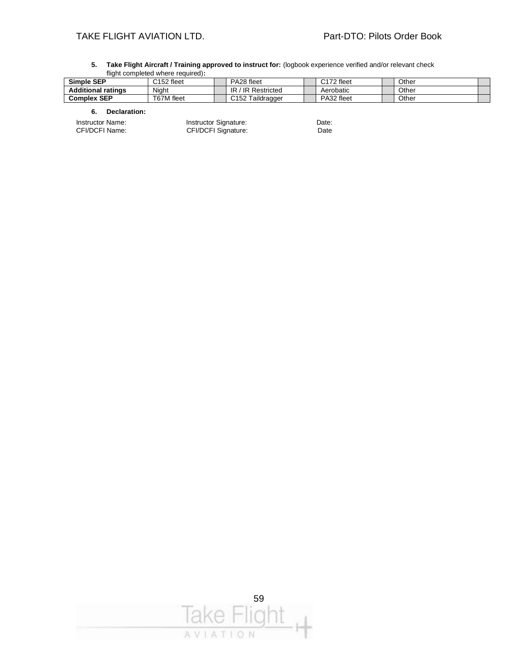#### TAKE FLIGHT AVIATION LTD. TAKE FLIGHT AVIATION LTD.

|                           | <u>munt completed where redured.</u> |                        |                        |       |
|---------------------------|--------------------------------------|------------------------|------------------------|-------|
| Simple SEP                | C152 fleet                           | PA28 fleet             | C <sub>172</sub> fleet | Other |
| <b>Additional ratings</b> | Niaht                                | IR.<br>/ IR Restricted | Aerobatic              | Other |
| <b>Complex SEP</b>        | T67M fleet                           | C152 Taildragger       | PA32 fleet             | Other |

**5. Take Flight Aircraft / Training approved to instruct for:** (logbook experience verified and/or relevant check flight completed where required)**:**

#### **6. Declaration:**

Instructor Name: **Instructor Signature:** Date: Date: CFI/DCFI Name: CFI/DCFI Signature: Date

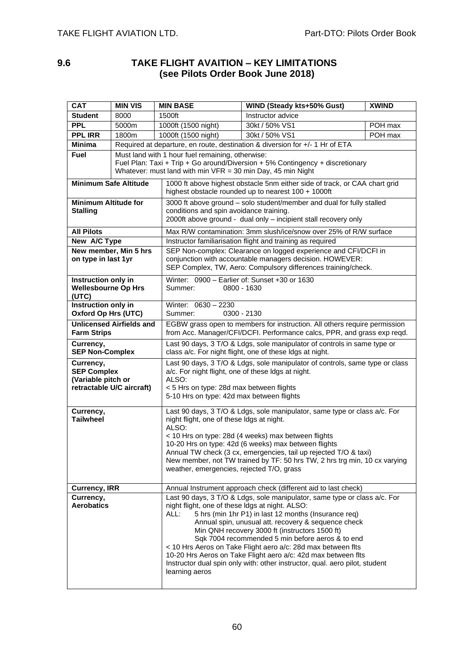#### **9.6 TAKE FLIGHT AVAITION – KEY LIMITATIONS (see Pilots Order Book June 2018)**

| <b>CAT</b>                                                                                                                                                                                                                                                                                                                                                                                                                                                                                                                                                                                                                    | <b>MIN VIS</b>                                                                                                                                                                          | <b>MIN BASE</b>                                                                                                                                                                                    | WIND (Steady kts+50% Gust)                                                                                                                                                                                                                                                                                                                | <b>XWIND</b> |  |  |
|-------------------------------------------------------------------------------------------------------------------------------------------------------------------------------------------------------------------------------------------------------------------------------------------------------------------------------------------------------------------------------------------------------------------------------------------------------------------------------------------------------------------------------------------------------------------------------------------------------------------------------|-----------------------------------------------------------------------------------------------------------------------------------------------------------------------------------------|----------------------------------------------------------------------------------------------------------------------------------------------------------------------------------------------------|-------------------------------------------------------------------------------------------------------------------------------------------------------------------------------------------------------------------------------------------------------------------------------------------------------------------------------------------|--------------|--|--|
| <b>Student</b>                                                                                                                                                                                                                                                                                                                                                                                                                                                                                                                                                                                                                | 8000                                                                                                                                                                                    | 1500ft                                                                                                                                                                                             | Instructor advice                                                                                                                                                                                                                                                                                                                         |              |  |  |
| <b>PPL</b>                                                                                                                                                                                                                                                                                                                                                                                                                                                                                                                                                                                                                    | 5000m                                                                                                                                                                                   | 1000ft (1500 night)                                                                                                                                                                                | 30kt / 50% VS1                                                                                                                                                                                                                                                                                                                            | POH max      |  |  |
| <b>PPL IRR</b>                                                                                                                                                                                                                                                                                                                                                                                                                                                                                                                                                                                                                | 1800m                                                                                                                                                                                   | 1000ft (1500 night)                                                                                                                                                                                | 30kt / 50% VS1                                                                                                                                                                                                                                                                                                                            | POH max      |  |  |
| <b>Minima</b>                                                                                                                                                                                                                                                                                                                                                                                                                                                                                                                                                                                                                 |                                                                                                                                                                                         | Required at departure, en route, destination & diversion for +/- 1 Hr of ETA                                                                                                                       |                                                                                                                                                                                                                                                                                                                                           |              |  |  |
| <b>Fuel</b>                                                                                                                                                                                                                                                                                                                                                                                                                                                                                                                                                                                                                   |                                                                                                                                                                                         | Must land with 1 hour fuel remaining, otherwise:<br>Fuel Plan: Taxi + Trip + Go around/Diversion + 5% Contingency + discretionary<br>Whatever: must land with min $VFR = 30$ min Day, 45 min Night |                                                                                                                                                                                                                                                                                                                                           |              |  |  |
| <b>Minimum Safe Altitude</b>                                                                                                                                                                                                                                                                                                                                                                                                                                                                                                                                                                                                  |                                                                                                                                                                                         |                                                                                                                                                                                                    | 1000 ft above highest obstacle 5nm either side of track, or CAA chart grid<br>highest obstacle rounded up to nearest 100 + 1000ft                                                                                                                                                                                                         |              |  |  |
| <b>Minimum Altitude for</b><br><b>Stalling</b>                                                                                                                                                                                                                                                                                                                                                                                                                                                                                                                                                                                |                                                                                                                                                                                         |                                                                                                                                                                                                    | 3000 ft above ground - solo student/member and dual for fully stalled<br>conditions and spin avoidance training.<br>2000ft above ground - dual only - incipient stall recovery only                                                                                                                                                       |              |  |  |
| <b>All Pilots</b>                                                                                                                                                                                                                                                                                                                                                                                                                                                                                                                                                                                                             |                                                                                                                                                                                         |                                                                                                                                                                                                    | Max R/W contamination: 3mm slush/ice/snow over 25% of R/W surface                                                                                                                                                                                                                                                                         |              |  |  |
| New A/C Type                                                                                                                                                                                                                                                                                                                                                                                                                                                                                                                                                                                                                  |                                                                                                                                                                                         |                                                                                                                                                                                                    | Instructor familiarisation flight and training as required                                                                                                                                                                                                                                                                                |              |  |  |
| on type in last 1yr                                                                                                                                                                                                                                                                                                                                                                                                                                                                                                                                                                                                           | New member, Min 5 hrs                                                                                                                                                                   |                                                                                                                                                                                                    | SEP Non-complex: Clearance on logged experience and CFI/DCFI in<br>conjunction with accountable managers decision. HOWEVER:<br>SEP Complex, TW, Aero: Compulsory differences training/check.                                                                                                                                              |              |  |  |
| (UTC)                                                                                                                                                                                                                                                                                                                                                                                                                                                                                                                                                                                                                         | Winter: 0900 - Earlier of: Sunset +30 or 1630<br>Instruction only in<br><b>Wellesbourne Op Hrs</b><br>Summer:<br>0800 - 1630                                                            |                                                                                                                                                                                                    |                                                                                                                                                                                                                                                                                                                                           |              |  |  |
| Instruction only in<br><b>Oxford Op Hrs (UTC)</b>                                                                                                                                                                                                                                                                                                                                                                                                                                                                                                                                                                             |                                                                                                                                                                                         | Winter: 0630 - 2230<br>Summer:<br>0300 - 2130                                                                                                                                                      |                                                                                                                                                                                                                                                                                                                                           |              |  |  |
| <b>Farm Strips</b>                                                                                                                                                                                                                                                                                                                                                                                                                                                                                                                                                                                                            | <b>Unlicensed Airfields and</b><br>EGBW grass open to members for instruction. All others require permission<br>from Acc. Manager/CFI/DCFI. Performance calcs, PPR, and grass exp reqd. |                                                                                                                                                                                                    |                                                                                                                                                                                                                                                                                                                                           |              |  |  |
| Currency,                                                                                                                                                                                                                                                                                                                                                                                                                                                                                                                                                                                                                     | Last 90 days, 3 T/O & Ldgs, sole manipulator of controls in same type or<br><b>SEP Non-Complex</b><br>class a/c. For night flight, one of these Idgs at night.                          |                                                                                                                                                                                                    |                                                                                                                                                                                                                                                                                                                                           |              |  |  |
| Last 90 days, 3 T/O & Ldgs, sole manipulator of controls, same type or class<br>Currency,<br><b>SEP Complex</b><br>a/c. For night flight, one of these Idgs at night.<br>ALSO:<br>(Variable pitch or<br>retractable U/C aircraft)<br>< 5 Hrs on type: 28d max between flights<br>5-10 Hrs on type: 42d max between flights                                                                                                                                                                                                                                                                                                    |                                                                                                                                                                                         |                                                                                                                                                                                                    |                                                                                                                                                                                                                                                                                                                                           |              |  |  |
| Currency,<br><b>Tailwheel</b>                                                                                                                                                                                                                                                                                                                                                                                                                                                                                                                                                                                                 |                                                                                                                                                                                         | night flight, one of these Idgs at night.<br>ALSO:<br>weather, emergencies, rejected T/O, grass                                                                                                    | Last 90 days, 3 T/O & Ldgs, sole manipulator, same type or class a/c. For<br>< 10 Hrs on type: 28d (4 weeks) max between flights<br>10-20 Hrs on type: 42d (6 weeks) max between flights<br>Annual TW check (3 cx, emergencies, tail up rejected T/O & taxi)<br>New member, not TW trained by TF: 50 hrs TW, 2 hrs trg min, 10 cx varying |              |  |  |
| <b>Currency, IRR</b>                                                                                                                                                                                                                                                                                                                                                                                                                                                                                                                                                                                                          |                                                                                                                                                                                         |                                                                                                                                                                                                    | Annual Instrument approach check (different aid to last check)                                                                                                                                                                                                                                                                            |              |  |  |
| Last 90 days, 3 T/O & Ldgs, sole manipulator, same type or class a/c. For<br>Currency,<br><b>Aerobatics</b><br>night flight, one of these Idgs at night. ALSO:<br>5 hrs (min 1hr P1) in last 12 months (Insurance req)<br>ALL:<br>Annual spin, unusual att. recovery & sequence check<br>Min QNH recovery 3000 ft (instructors 1500 ft)<br>Sqk 7004 recommended 5 min before aeros & to end<br>< 10 Hrs Aeros on Take Flight aero a/c: 28d max between flts<br>10-20 Hrs Aeros on Take Flight aero a/c: 42d max between flts<br>Instructor dual spin only with: other instructor, qual. aero pilot, student<br>learning aeros |                                                                                                                                                                                         |                                                                                                                                                                                                    |                                                                                                                                                                                                                                                                                                                                           |              |  |  |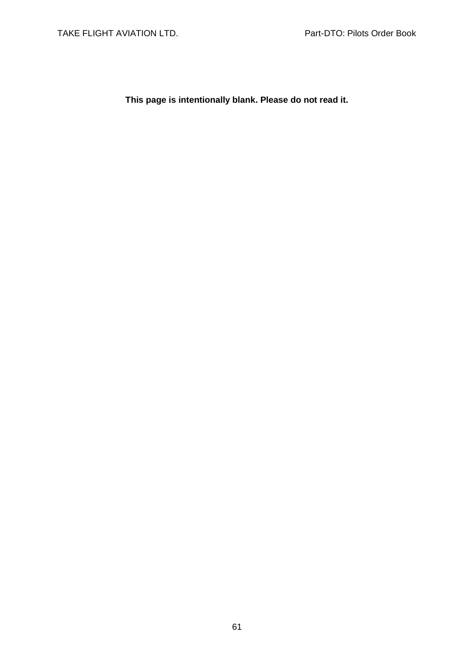**This page is intentionally blank. Please do not read it.**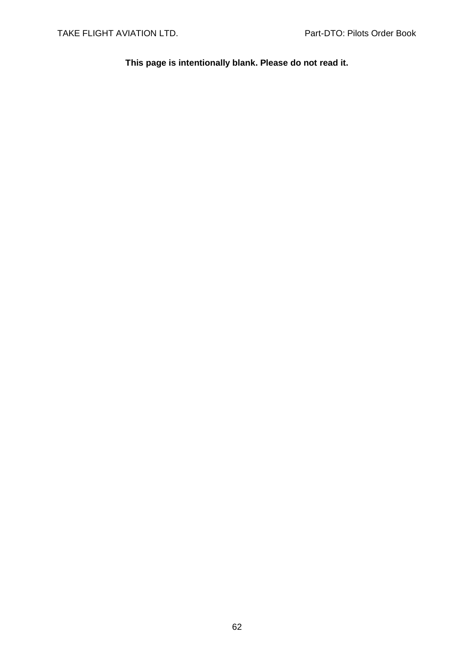**This page is intentionally blank. Please do not read it.**